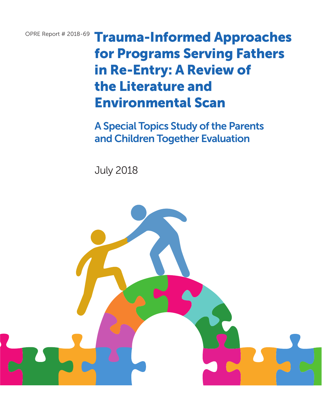OPRE Report # 2018-69 Trauma-Informed Approaches for Programs Serving Fathers in Re-Entry: A Review of the Literature and Environmental Scan

> A Special Topics Study of the Parents and Children Together Evaluation

July 2018

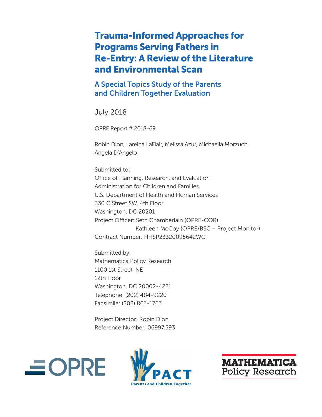# Trauma-Informed Approaches for Programs Serving Fathers in Re-Entry: A Review of the Literature and Environmental Scan

A Special Topics Study of the Parents and Children Together Evaluation

July 2018

OPRE Report # 2018-69

Robin Dion, Lareina LaFlair, Melissa Azur, Michaella Morzuch, Angela D'Angelo

Submitted to: Office of Planning, Research, and Evaluation Administration for Children and Families U.S. Department of Health and Human Services 330 C Street SW, 4th Floor Washington, DC 20201 Project Officer: Seth Chamberlain (OPRE-COR) Kathleen McCoy (OPRE/BSC – Project Monitor) Contract Number: HHSP23320095642WC

Submitted by: Mathematica Policy Research 1100 1st Street, NE 12th Floor Washington, DC 20002-4221 Telephone: (202) 484-9220 Facsimile: (202) 863-1763

Project Director: Robin Dion Reference Number: 06997.593





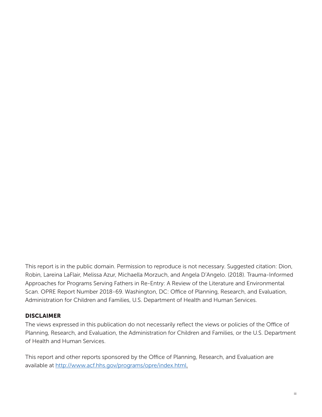This report is in the public domain. Permission to reproduce is not necessary. Suggested citation: Dion, Robin, Lareina LaFlair, Melissa Azur, Michaella Morzuch, and Angela D'Angelo. (2018). Trauma-Informed Approaches for Programs Serving Fathers in Re-Entry: A Review of the Literature and Environmental Scan. OPRE Report Number 2018-69. Washington, DC: Office of Planning, Research, and Evaluation, Administration for Children and Families, U.S. Department of Health and Human Services.

### DISCLAIMER

The views expressed in this publication do not necessarily reflect the views or policies of the Office of Planning, Research, and Evaluation, the Administration for Children and Families, or the U.S. Department of Health and Human Services.

This report and other reports sponsored by the Office of Planning, Research, and Evaluation are available at [http://www.acf.hhs.gov/programs/opre/index.html.](http://www.acf.hhs.gov/programs/opre/index.html)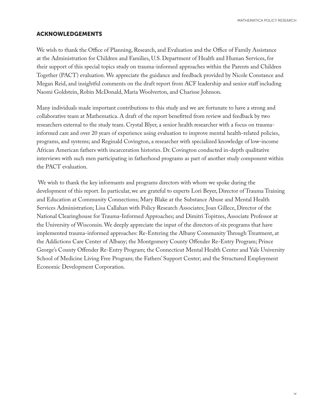MATHEMATICA POLICY RESEARCH

### ACKNOWLEDGEMENTS

We wish to thank the Office of Planning, Research, and Evaluation and the Office of Family Assistance at the Administration for Children and Families, U.S. Department of Health and Human Services, for their support of this special topics study on trauma-informed approaches within the Parents and Children Together (PACT) evaluation. We appreciate the guidance and feedback provided by Nicole Constance and Megan Reid, and insightful comments on the draft report from ACF leadership and senior staff including Naomi Goldstein, Robin McDonald, Maria Woolverton, and Charisse Johnson.

Many individuals made important contributions to this study and we are fortunate to have a strong and collaborative team at Mathematica. A draft of the report benefitted from review and feedback by two researchers external to the study team. Crystal Blyer, a senior health researcher with a focus on traumainformed care and over 20 years of experience using evaluation to improve mental health-related policies, programs, and systems; and Reginald Covington, a researcher with specialized knowledge of low-income African American fathers with incarceration histories. Dr. Covington conducted in-depth qualitative interviews with such men participating in fatherhood programs as part of another study component within the PACT evaluation.

 We wish to thank the key informants and programs directors with whom we spoke during the development of this report. In particular, we are grateful to experts Lori Beyer, Director of Trauma Training and Education at Community Connections; Mary Blake at the Substance Abuse and Mental Health Services Administration; Lisa Callahan with Policy Research Associates; Joan Gillece, Director of the National Clearinghouse for Trauma-Informed Approaches; and Dimitri Topitzes, Associate Professor at the University of Wisconsin. We deeply appreciate the input of the directors of six programs that have implemented trauma-informed approaches: Re-Entering the Albany Community Through Treatment, at the Addictions Care Center of Albany; the Montgomery County Offender Re-Entry Program; Prince George's County Offender Re-Entry Program; the Connecticut Mental Health Center and Yale University School of Medicine Living Free Program; the Fathers' Support Center; and the Structured Employment Economic Development Corporation.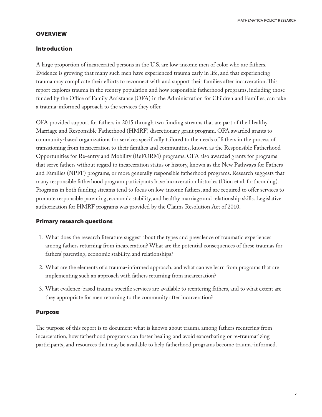MATHEMATICA POLICY RESEARCH

### **OVERVIEW**

### Introduction

A large proportion of incarcerated persons in the U.S. are low-income men of color who are fathers. Evidence is growing that many such men have experienced trauma early in life, and that experiencing trauma may complicate their efforts to reconnect with and support their families after incarceration. This report explores trauma in the reentry population and how responsible fatherhood programs, including those funded by the Office of Family Assistance (OFA) in the Administration for Children and Families, can take a trauma-informed approach to the services they offer.

OFA provided support for fathers in 2015 through two funding streams that are part of the Healthy Marriage and Responsible Fatherhood (HMRF) discretionary grant program. OFA awarded grants to community-based organizations for services specifically tailored to the needs of fathers in the process of transitioning from incarceration to their families and communities, known as the Responsible Fatherhood Opportunities for Re-entry and Mobility (ReFORM) programs. OFA also awarded grants for programs that serve fathers without regard to incarceration status or history, known as the New Pathways for Fathers and Families (NPFF) programs, or more generally responsible fatherhood programs. Research suggests that many responsible fatherhood program participants have incarceration histories (Dion et al. forthcoming). Programs in both funding streams tend to focus on low-income fathers, and are required to offer services to promote responsible parenting, economic stability, and healthy marriage and relationship skills. Legislative authorization for HMRF programs was provided by the Claims Resolution Act of 2010.

### Primary research questions

- 1. What does the research literature suggest about the types and prevalence of traumatic experiences among fathers returning from incarceration? What are the potential consequences of these traumas for fathers' parenting, economic stability, and relationships?
- 2. What are the elements of a trauma-informed approach, and what can we learn from programs that are implementing such an approach with fathers returning from incarceration?
- 3. What evidence-based trauma-specific services are available to reentering fathers, and to what extent are they appropriate for men returning to the community after incarceration?

### Purpose

The purpose of this report is to document what is known about trauma among fathers reentering from incarceration, how fatherhood programs can foster healing and avoid exacerbating or re-traumatizing participants, and resources that may be available to help fatherhood programs become trauma-informed.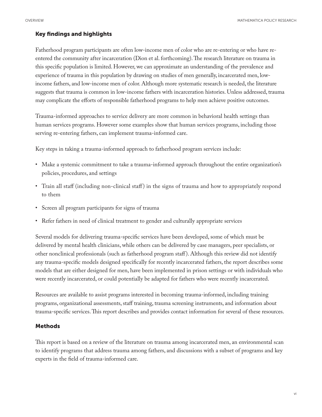### Key findings and highlights

Fatherhood program participants are often low-income men of color who are re-entering or who have reentered the community after incarceration (Dion et al. forthcoming). The research literature on trauma in this specific population is limited. However, we can approximate an understanding of the prevalence and experience of trauma in this population by drawing on studies of men generally, incarcerated men, lowincome fathers, and low-income men of color. Although more systematic research is needed, the literature suggests that trauma is common in low-income fathers with incarceration histories. Unless addressed, trauma may complicate the efforts of responsible fatherhood programs to help men achieve positive outcomes.

Trauma-informed approaches to service delivery are more common in behavioral health settings than human services programs. However some examples show that human services programs, including those serving re-entering fathers, can implement trauma-informed care.

Key steps in taking a trauma-informed approach to fatherhood program services include:

- Make a systemic commitment to take a trauma-informed approach throughout the entire organization's policies, procedures, and settings
- Train all staff (including non-clinical staff ) in the signs of trauma and how to appropriately respond to them
- Screen all program participants for signs of trauma
- Refer fathers in need of clinical treatment to gender and culturally appropriate services

Several models for delivering trauma-specific services have been developed, some of which must be delivered by mental health clinicians, while others can be delivered by case managers, peer specialists, or other nonclinical professionals (such as fatherhood program staff ). Although this review did not identify any trauma-specific models designed specifically for recently incarcerated fathers, the report describes some models that are either designed for men, have been implemented in prison settings or with individuals who were recently incarcerated, or could potentially be adapted for fathers who were recently incarcerated.

Resources are available to assist programs interested in becoming trauma-informed, including training programs, organizational assessments, staff training, trauma screening instruments, and information about trauma-specific services. This report describes and provides contact information for several of these resources.

#### Methods

This report is based on a review of the literature on trauma among incarcerated men, an environmental scan to identify programs that address trauma among fathers, and discussions with a subset of programs and key experts in the field of trauma-informed care.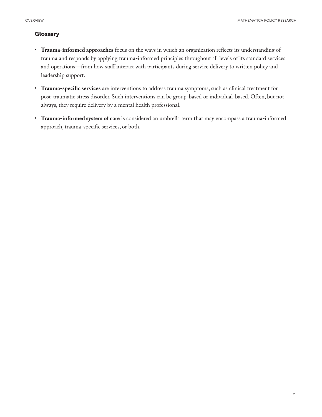### Glossary

- **Trauma-informed approaches** focus on the ways in which an organization reflects its understanding of trauma and responds by applying trauma-informed principles throughout all levels of its standard services and operations—from how staff interact with participants during service delivery to written policy and leadership support.
- **Trauma-specific services** are interventions to address trauma symptoms, such as clinical treatment for post-traumatic stress disorder. Such interventions can be group-based or individual-based. Often, but not always, they require delivery by a mental health professional.
- **Trauma-informed system of care** is considered an umbrella term that may encompass a trauma-informed approach, trauma-specific services, or both.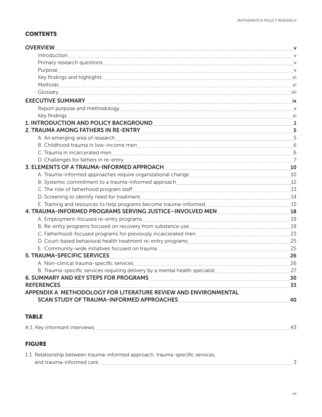# **CONTENTS**

| <b>OVERVIEW</b>                                                                                                                                                                                                                      | $\mathbf v$    |
|--------------------------------------------------------------------------------------------------------------------------------------------------------------------------------------------------------------------------------------|----------------|
| Introduction <b>Executive Contract Contract Contract Contract Contract Contract Contract Contract Contract Contract Contract Contract Contract Contract Contract Contract Contract Contract Contract Contract Contract Contract </b> | $\vee$         |
|                                                                                                                                                                                                                                      | V              |
|                                                                                                                                                                                                                                      | V              |
|                                                                                                                                                                                                                                      | - vi           |
|                                                                                                                                                                                                                                      | -vi            |
| Glossary extensions and the contract of the contract of the contract of the contract of the contract of the contract of the contract of the contract of the contract of the contract of the contract of the contract of the co       | vii            |
|                                                                                                                                                                                                                                      | <b>ix</b>      |
|                                                                                                                                                                                                                                      | $\mathsf{X}$   |
|                                                                                                                                                                                                                                      | xi             |
| 1. INTRODUCTION AND POLICY BACKGROUND <b>And Accept and Accept and Accept and Accept</b>                                                                                                                                             | 1              |
| 2. TRAUMA AMONG FATHERS IN RE-ENTRY <b>CONSUMING A PROGRAM</b>                                                                                                                                                                       | 5              |
|                                                                                                                                                                                                                                      | 5              |
|                                                                                                                                                                                                                                      | 6              |
|                                                                                                                                                                                                                                      | 6              |
|                                                                                                                                                                                                                                      | $\overline{7}$ |
| 3. ELEMENTS OF A TRAUMA-INFORMED APPROACH                                                                                                                                                                                            | 10             |
| A. Trauma-informed approaches require organizational change manuscritic manuscritic manuscritic manuscritic ma                                                                                                                       | 10             |
|                                                                                                                                                                                                                                      | 12             |
|                                                                                                                                                                                                                                      | 13             |
|                                                                                                                                                                                                                                      | 14             |
| E. Training and resources to help programs become trauma-informed                                                                                                                                                                    | 15             |
| 4. TRAUMA-INFORMED PROGRAMS SERVING JUSTICE-INVOLVED MEN                                                                                                                                                                             | 18             |
|                                                                                                                                                                                                                                      | 19             |
| B. Re-entry programs focused on recovery from substance use                                                                                                                                                                          | 19             |
| C. Fatherhood-focused programs for previously incarcerated men                                                                                                                                                                       | 23             |
| D. Court-based behavioral health treatment re-entry programs                                                                                                                                                                         | 25             |
| E. Community-wide initiatives focused on trauma                                                                                                                                                                                      | 25             |
| <b>5. TRAUMA-SPECIFIC SERVICES</b>                                                                                                                                                                                                   | 26             |
| A. Non-clinical trauma-specific services entrancement contracts and the services of the services of the services                                                                                                                     | 26             |
| B. Trauma-specific services requiring delivery by a mental health specialist                                                                                                                                                         | 27             |
| 6. SUMMARY AND KEY STEPS FOR PROGRAMS                                                                                                                                                                                                | 30             |
| <b>REFERENCES</b>                                                                                                                                                                                                                    | 33             |
| APPENDIX A METHODOLOGY FOR LITERATURE REVIEW AND ENVIRONMENTAL                                                                                                                                                                       |                |
| <b>SCAN STUDY OF TRAUMA-INFORMED APPROACHES</b>                                                                                                                                                                                      | 40             |

## TABLE

| A.1. Key informant interviews |  |
|-------------------------------|--|
|                               |  |

# FIGURE

| 1.1. Relationship between trauma-informed approach, trauma-specific services, |  |
|-------------------------------------------------------------------------------|--|
| and trauma-informed care                                                      |  |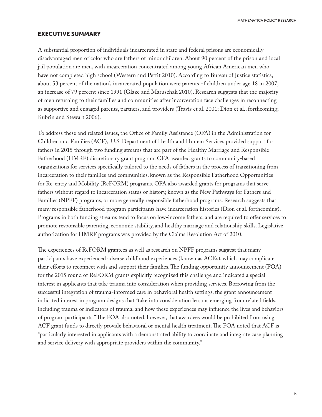MATHEMATICA POLICY RESEARCH

#### EXECUTIVE SUMMARY

A substantial proportion of individuals incarcerated in state and federal prisons are economically disadvantaged men of color who are fathers of minor children. About 90 percent of the prison and local jail population are men, with incarceration concentrated among young African American men who have not completed high school (Western and Pettit 2010). According to Bureau of Justice statistics, about 53 percent of the nation's incarcerated population were parents of children under age 18 in 2007, an increase of 79 percent since 1991 (Glaze and Maruschak 2010). Research suggests that the majority of men returning to their families and communities after incarceration face challenges in reconnecting as supportive and engaged parents, partners, and providers (Travis et al. 2001; Dion et al., forthcoming; Kubrin and Stewart 2006).

To address these and related issues, the Office of Family Assistance (OFA) in the Administration for Children and Families (ACF), U.S. Department of Health and Human Services provided support for fathers in 2015 through two funding streams that are part of the Healthy Marriage and Responsible Fatherhood (HMRF) discretionary grant program. OFA awarded grants to community-based organizations for services specifically tailored to the needs of fathers in the process of transitioning from incarceration to their families and communities, known as the Responsible Fatherhood Opportunities for Re-entry and Mobility (ReFORM) programs. OFA also awarded grants for programs that serve fathers without regard to incarceration status or history, known as the New Pathways for Fathers and Families (NPFF) programs, or more generally responsible fatherhood programs. Research suggests that many responsible fatherhood program participants have incarceration histories (Dion et al. forthcoming). Programs in both funding streams tend to focus on low-income fathers, and are required to offer services to promote responsible parenting, economic stability, and healthy marriage and relationship skills. Legislative authorization for HMRF programs was provided by the Claims Resolution Act of 2010.

The experiences of ReFORM grantees as well as research on NPFF programs suggest that many participants have experienced adverse childhood experiences (known as ACEs), which may complicate their efforts to reconnect with and support their families. The funding opportunity announcement (FOA) for the 2015 round of ReFORM grants explicitly recognized this challenge and indicated a special interest in applicants that take trauma into consideration when providing services. Borrowing from the successful integration of trauma-informed care in behavioral health settings, the grant announcement indicated interest in program designs that "take into consideration lessons emerging from related fields, including trauma or indicators of trauma, and how these experiences may influence the lives and behaviors of program participants." The FOA also noted, however, that awardees would be prohibited from using ACF grant funds to directly provide behavioral or mental health treatment. The FOA noted that ACF is "particularly interested in applicants with a demonstrated ability to coordinate and integrate case planning and service delivery with appropriate providers within the community."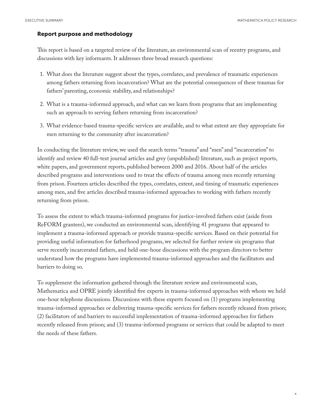#### Report purpose and methodology

This report is based on a targeted review of the literature, an environmental scan of reentry programs, and discussions with key informants. It addresses three broad research questions:

- 1. What does the literature suggest about the types, correlates, and prevalence of traumatic experiences among fathers returning from incarceration? What are the potential consequences of these traumas for fathers' parenting, economic stability, and relationships?
- 2. What is a trauma-informed approach, and what can we learn from programs that are implementing such an approach to serving fathers returning from incarceration?
- 3. What evidence-based trauma-specific services are available, and to what extent are they appropriate for men returning to the community after incarceration?

In conducting the literature review, we used the search terms "trauma" and "men" and "incarceration" to identify and review 40 full-text journal articles and grey (unpublished) literature, such as project reports, white papers, and government reports, published between 2000 and 2016. About half of the articles described programs and interventions used to treat the effects of trauma among men recently returning from prison. Fourteen articles described the types, correlates, extent, and timing of traumatic experiences among men, and five articles described trauma-informed approaches to working with fathers recently returning from prison.

To assess the extent to which trauma-informed programs for justice-involved fathers exist (aside from ReFORM grantees), we conducted an environmental scan, identifying 41 programs that appeared to implement a trauma-informed approach or provide trauma-specific services. Based on their potential for providing useful information for fatherhood programs, we selected for further review six programs that serve recently incarcerated fathers, and held one-hour discussions with the program directors to better understand how the programs have implemented trauma-informed approaches and the facilitators and barriers to doing so.

To supplement the information gathered through the literature review and environmental scan, Mathematica and OPRE jointly identified five experts in trauma-informed approaches with whom we held one-hour telephone discussions. Discussions with these experts focused on (1) programs implementing trauma-informed approaches or delivering trauma-specific services for fathers recently released from prison; (2) facilitators of and barriers to successful implementation of trauma-informed approaches for fathers recently released from prison; and (3) trauma-informed programs or services that could be adapted to meet the needs of these fathers.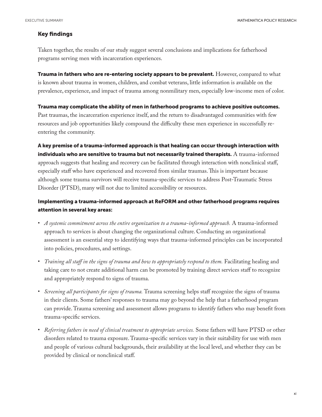#### Key findings

Taken together, the results of our study suggest several conclusions and implications for fatherhood programs serving men with incarceration experiences.

Trauma in fathers who are re-entering society appears to be prevalent. However, compared to what is known about trauma in women, children, and combat veterans, little information is available on the prevalence, experience, and impact of trauma among nonmilitary men, especially low-income men of color.

Trauma may complicate the ability of men in fatherhood programs to achieve positive outcomes. Past traumas, the incarceration experience itself, and the return to disadvantaged communities with few resources and job opportunities likely compound the difficulty these men experience in successfully reentering the community.

A key premise of a trauma-informed approach is that healing can occur through interaction with individuals who are sensitive to trauma but not necessarily trained therapists.  $A$  trauma-informed approach suggests that healing and recovery can be facilitated through interaction with nonclinical staff, especially staff who have experienced and recovered from similar traumas. This is important because although some trauma survivors will receive trauma-specific services to address Post-Traumatic Stress Disorder (PTSD), many will not due to limited accessibility or resources.

### Implementing a trauma-informed approach at ReFORM and other fatherhood programs requires attention in several key areas:

- *A systemic commitment across the entire organization to a trauma-informed approach.* A trauma-informed approach to services is about changing the organizational culture. Conducting an organizational assessment is an essential step to identifying ways that trauma-informed principles can be incorporated into policies, procedures, and settings.
- *Training all staff in the signs of trauma and how to appropriately respond to them.* Facilitating healing and taking care to not create additional harm can be promoted by training direct services staff to recognize and appropriately respond to signs of trauma.
- *Screening all participants for signs of trauma.* Trauma screening helps staff recognize the signs of trauma in their clients. Some fathers' responses to trauma may go beyond the help that a fatherhood program can provide. Trauma screening and assessment allows programs to identify fathers who may benefit from trauma-specific services.
- *Referring fathers in need of clinical treatment to appropriate services.* Some fathers will have PTSD or other disorders related to trauma exposure. Trauma-specific services vary in their suitability for use with men and people of various cultural backgrounds, their availability at the local level, and whether they can be provided by clinical or nonclinical staff.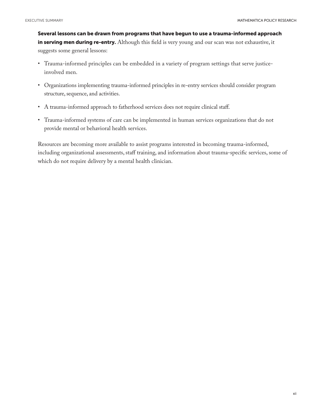Several lessons can be drawn from programs that have begun to use a trauma-informed approach in serving men during re-entry. Although this field is very young and our scan was not exhaustive, it suggests some general lessons:

- Trauma-informed principles can be embedded in a variety of program settings that serve justiceinvolved men.
- Organizations implementing trauma-informed principles in re-entry services should consider program structure, sequence, and activities.
- A trauma-informed approach to fatherhood services does not require clinical staff.
- Trauma-informed systems of care can be implemented in human services organizations that do not provide mental or behavioral health services.

Resources are becoming more available to assist programs interested in becoming trauma-informed, including organizational assessments, staff training, and information about trauma-specific services, some of which do not require delivery by a mental health clinician.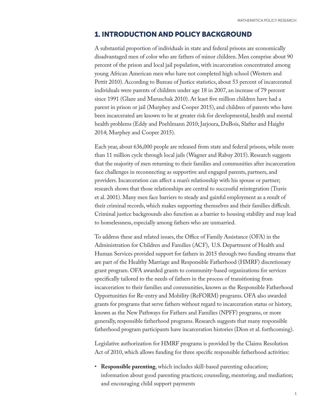## 1. INTRODUCTION AND POLICY BACKGROUND

A substantial proportion of individuals in state and federal prisons are economically disadvantaged men of color who are fathers of minor children. Men comprise about 90 percent of the prison and local jail population, with incarceration concentrated among young African American men who have not completed high school (Western and Pettit 2010). According to Bureau of Justice statistics, about 53 percent of incarcerated individuals were parents of children under age 18 in 2007, an increase of 79 percent since 1991 (Glaze and Maruschak 2010). At least five million children have had a parent in prison or jail (Murphey and Cooper 2015), and children of parents who have been incarcerated are known to be at greater risk for developmental, health and mental health problems (Eddy and Poehlmann 2010; Jarjoura, DuBois, Slafter and Haight 2014; Murphey and Cooper 2015).

Each year, about 636,000 people are released from state and federal prisons, while more than 11 million cycle through local jails (Wagner and Rabuy 2015). Research suggests that the majority of men returning to their families and communities after incarceration face challenges in reconnecting as supportive and engaged parents, partners, and providers. Incarceration can affect a man's relationship with his spouse or partner; research shows that those relationships are central to successful reintegration (Travis et al. 2001). Many men face barriers to steady and gainful employment as a result of their criminal records, which makes supporting themselves and their families difficult. Criminal justice backgrounds also function as a barrier to housing stability and may lead to homelessness, especially among fathers who are unmarried.

To address these and related issues, the Office of Family Assistance (OFA) in the Administration for Children and Families (ACF), U.S. Department of Health and Human Services provided support for fathers in 2015 through two funding streams that are part of the Healthy Marriage and Responsible Fatherhood (HMRF) discretionary grant program. OFA awarded grants to community-based organizations for services specifically tailored to the needs of fathers in the process of transitioning from incarceration to their families and communities, known as the Responsible Fatherhood Opportunities for Re-entry and Mobility (ReFORM) programs. OFA also awarded grants for programs that serve fathers without regard to incarceration status or history, known as the New Pathways for Fathers and Families (NPFF) programs, or more generally, responsible fatherhood programs. Research suggests that many responsible fatherhood program participants have incarceration histories (Dion et al. forthcoming).

Legislative authorization for HMRF programs is provided by the Claims Resolution Act of 2010, which allows funding for three specific responsible fatherhood activities:

• **Responsible parenting**, which includes skill-based parenting education; information about good parenting practices; counseling, mentoring, and mediation; and encouraging child support payments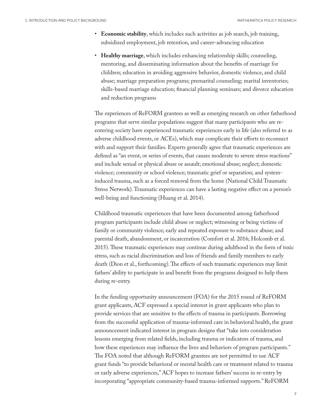- **Economic stability**, which includes such activities as job search, job training, subsidized employment, job retention, and career-advancing education
- **Healthy marriage**, which includes enhancing relationship skills; counseling, mentoring, and disseminating information about the benefits of marriage for children; education in avoiding aggressive behavior, domestic violence, and child abuse; marriage preparation programs; premarital counseling; marital inventories; skills-based marriage education; financial planning seminars; and divorce education and reduction programs

The experiences of ReFORM grantees as well as emerging research on other fatherhood programs that serve similar populations suggest that many participants who are reentering society have experienced traumatic experiences early in life (also referred to as adverse childhood events, or ACEs), which may complicate their efforts to reconnect with and support their families. Experts generally agree that traumatic experiences are defined as "an event, or series of events, that causes moderate to severe stress reactions" and include sexual or physical abuse or assault; emotional abuse; neglect; domestic violence; community or school violence; traumatic grief or separation; and systeminduced trauma, such as a forced removal from the home (National Child Traumatic Stress Network). Traumatic experiences can have a lasting negative effect on a person's well-being and functioning (Huang et al. 2014).

Childhood traumatic experiences that have been documented among fatherhood program participants include child abuse or neglect; witnessing or being victims of family or community violence; early and repeated exposure to substance abuse; and parental death, abandonment, or incarceration (Comfort et al. 2016; Holcomb et al. 2015). These traumatic experiences may continue during adulthood in the form of toxic stress, such as racial discrimination and loss of friends and family members to early death (Dion et al., forthcoming). The effects of such traumatic experiences may limit fathers' ability to participate in and benefit from the programs designed to help them during re-entry.

In the funding opportunity announcement (FOA) for the 2015 round of ReFORM grant applicants, ACF expressed a special interest in grant applicants who plan to provide services that are sensitive to the effects of trauma in participants. Borrowing from the successful application of trauma-informed care in behavioral health, the grant announcement indicated interest in program designs that "take into consideration lessons emerging from related fields, including trauma or indicators of trauma, and how these experiences may influence the lives and behaviors of program participants." The FOA noted that although ReFORM grantees are not permitted to use ACF grant funds "to provide behavioral or mental health care or treatment related to trauma or early adverse experiences," ACF hopes to increase fathers' success in re-entry by incorporating "appropriate community-based trauma-informed supports." ReFORM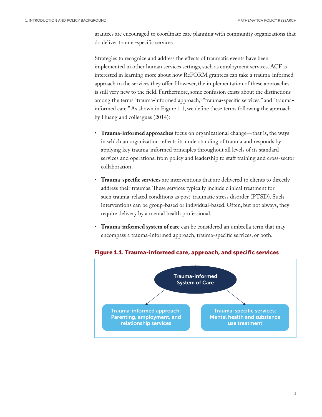grantees are encouraged to coordinate care planning with community organizations that do deliver trauma-specific services.

Strategies to recognize and address the effects of traumatic events have been implemented in other human services settings, such as employment services. ACF is interested in learning more about how ReFORM grantees can take a trauma-informed approach to the services they offer. However, the implementation of these approaches is still very new to the field. Furthermore, some confusion exists about the distinctions among the terms "trauma-informed approach," "trauma-specific services," and "traumainformed care." As shown in Figure 1.1, we define these terms following the approach by Huang and colleagues (2014):

- **Trauma-informed approaches** focus on organizational change—that is, the ways in which an organization reflects its understanding of trauma and responds by applying key trauma-informed principles throughout all levels of its standard services and operations, from policy and leadership to staff training and cross-sector collaboration.
- **Trauma-specific services** are interventions that are delivered to clients to directly address their traumas. These services typically include clinical treatment for such trauma-related conditions as post-traumatic stress disorder (PTSD). Such interventions can be group-based or individual-based. Often, but not always, they require delivery by a mental health professional.
- **Trauma-informed system of care** can be considered an umbrella term that may encompass a trauma-informed approach, trauma-specific services, or both.



#### Figure 1.1. Trauma-informed care, approach, and specific services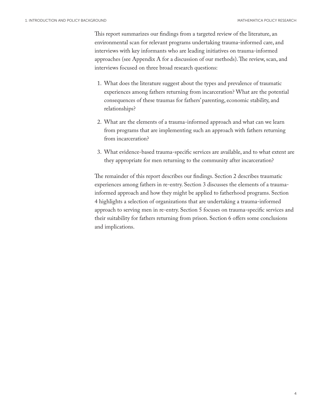This report summarizes our findings from a targeted review of the literature, an environmental scan for relevant programs undertaking trauma-informed care, and interviews with key informants who are leading initiatives on trauma-informed approaches (see Appendix A for a discussion of our methods). The review, scan, and interviews focused on three broad research questions:

- 1. What does the literature suggest about the types and prevalence of traumatic experiences among fathers returning from incarceration? What are the potential consequences of these traumas for fathers' parenting, economic stability, and relationships?
- 2. What are the elements of a trauma-informed approach and what can we learn from programs that are implementing such an approach with fathers returning from incarceration?
- 3. What evidence-based trauma-specific services are available, and to what extent are they appropriate for men returning to the community after incarceration?

The remainder of this report describes our findings. Section 2 describes traumatic experiences among fathers in re-entry. Section 3 discusses the elements of a traumainformed approach and how they might be applied to fatherhood programs. Section 4 highlights a selection of organizations that are undertaking a trauma-informed approach to serving men in re-entry. Section 5 focuses on trauma-specific services and their suitability for fathers returning from prison. Section 6 offers some conclusions and implications.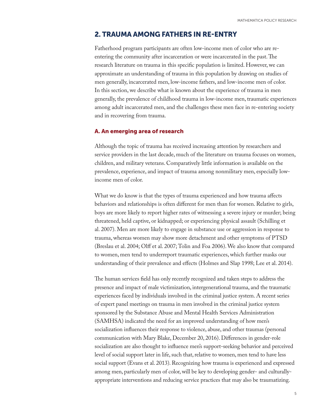### 2. TRAUMA AMONG FATHERS IN RE-ENTRY

Fatherhood program participants are often low-income men of color who are reentering the community after incarceration or were incarcerated in the past. The research literature on trauma in this specific population is limited. However, we can approximate an understanding of trauma in this population by drawing on studies of men generally, incarcerated men, low-income fathers, and low-income men of color. In this section, we describe what is known about the experience of trauma in men generally, the prevalence of childhood trauma in low-income men, traumatic experiences among adult incarcerated men, and the challenges these men face in re-entering society and in recovering from trauma.

#### A. An emerging area of research

Although the topic of trauma has received increasing attention by researchers and service providers in the last decade, much of the literature on trauma focuses on women, children, and military veterans. Comparatively little information is available on the prevalence, experience, and impact of trauma among nonmilitary men, especially lowincome men of color.

What we do know is that the types of trauma experienced and how trauma affects behaviors and relationships is often different for men than for women. Relative to girls, boys are more likely to report higher rates of witnessing a severe injury or murder; being threatened, held captive, or kidnapped; or experiencing physical assault (Schilling et al. 2007). Men are more likely to engage in substance use or aggression in response to trauma, whereas women may show more detachment and other symptoms of PTSD (Breslau et al. 2004; Olff et al. 2007; Tolin and Foa 2006). We also know that compared to women, men tend to underreport traumatic experiences, which further masks our understanding of their prevalence and effects (Holmes and Slap 1998; Lee et al. 2014).

The human services field has only recently recognized and taken steps to address the presence and impact of male victimization, intergenerational trauma, and the traumatic experiences faced by individuals involved in the criminal justice system. A recent series of expert panel meetings on trauma in men involved in the criminal justice system sponsored by the Substance Abuse and Mental Health Services Administration (SAMHSA) indicated the need for an improved understanding of how men's socialization influences their response to violence, abuse, and other traumas (personal communication with Mary Blake, December 20, 2016). Differences in gender-role socialization are also thought to influence men's support-seeking behavior and perceived level of social support later in life, such that, relative to women, men tend to have less social support (Evans et al. 2013). Recognizing how trauma is experienced and expressed among men, particularly men of color, will be key to developing gender- and culturallyappropriate interventions and reducing service practices that may also be traumatizing.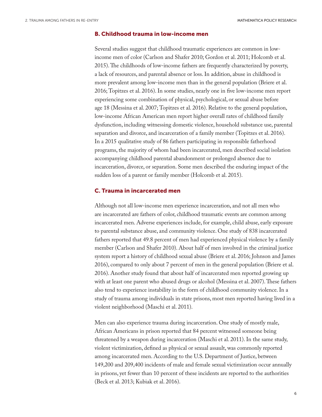#### B. Childhood trauma in low-income men

Several studies suggest that childhood traumatic experiences are common in lowincome men of color (Carlson and Shafer 2010; Gordon et al. 2011; Holcomb et al. 2015). The childhoods of low-income fathers are frequently characterized by poverty, a lack of resources, and parental absence or loss. In addition, abuse in childhood is more prevalent among low-income men than in the general population (Briere et al. 2016; Topitzes et al. 2016). In some studies, nearly one in five low-income men report experiencing some combination of physical, psychological, or sexual abuse before age 18 (Messina et al. 2007; Topitzes et al. 2016). Relative to the general population, low-income African American men report higher overall rates of childhood family dysfunction, including witnessing domestic violence, household substance use, parental separation and divorce, and incarceration of a family member (Topitzes et al. 2016). In a 2015 qualitative study of 86 fathers participating in responsible fatherhood programs, the majority of whom had been incarcerated, men described social isolation accompanying childhood parental abandonment or prolonged absence due to incarceration, divorce, or separation. Some men described the enduring impact of the sudden loss of a parent or family member (Holcomb et al. 2015).

#### C. Trauma in incarcerated men

Although not all low-income men experience incarceration, and not all men who are incarcerated are fathers of color, childhood traumatic events are common among incarcerated men. Adverse experiences include, for example, child abuse, early exposure to parental substance abuse, and community violence. One study of 838 incarcerated fathers reported that 49.8 percent of men had experienced physical violence by a family member (Carlson and Shafer 2010). About half of men involved in the criminal justice system report a history of childhood sexual abuse (Briere et al. 2016; Johnson and James 2016), compared to only about 7 percent of men in the general population (Briere et al. 2016). Another study found that about half of incarcerated men reported growing up with at least one parent who abused drugs or alcohol (Messina et al. 2007). These fathers also tend to experience instability in the form of childhood community violence. In a study of trauma among individuals in state prisons, most men reported having lived in a violent neighborhood (Maschi et al. 2011).

Men can also experience trauma during incarceration. One study of mostly male, African Americans in prison reported that 84 percent witnessed someone being threatened by a weapon during incarceration (Maschi et al. 2011). In the same study, violent victimization, defined as physical or sexual assault, was commonly reported among incarcerated men. According to the U.S. Department of Justice, between 149,200 and 209,400 incidents of male and female sexual victimization occur annually in prisons, yet fewer than 10 percent of these incidents are reported to the authorities (Beck et al. 2013; Kubiak et al. 2016).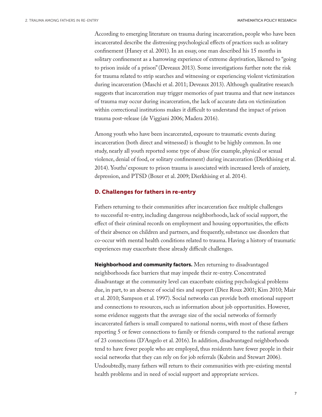According to emerging literature on trauma during incarceration, people who have been incarcerated describe the distressing psychological effects of practices such as solitary confinement (Haney et al. 2001). In an essay, one man described his 15 months in solitary confinement as a harrowing experience of extreme deprivation, likened to "going to prison inside of a prison" (Deveaux 2013). Some investigations further note the risk for trauma related to strip searches and witnessing or experiencing violent victimization during incarceration (Maschi et al. 2011; Deveaux 2013). Although qualitative research suggests that incarceration may trigger memories of past trauma and that new instances of trauma may occur during incarceration, the lack of accurate data on victimization within correctional institutions makes it difficult to understand the impact of prison trauma post-release (de Viggiani 2006; Madera 2016).

Among youth who have been incarcerated, exposure to traumatic events during incarceration (both direct and witnessed) is thought to be highly common. In one study, nearly all youth reported some type of abuse (for example, physical or sexual violence, denial of food, or solitary confinement) during incarceration (Dierkhising et al. 2014). Youths' exposure to prison trauma is associated with increased levels of anxiety, depression, and PTSD (Boxer et al. 2009; Dierkhising et al. 2014).

#### D. Challenges for fathers in re-entry

Fathers returning to their communities after incarceration face multiple challenges to successful re-entry, including dangerous neighborhoods, lack of social support, the effect of their criminal records on employment and housing opportunities, the effects of their absence on children and partners, and frequently, substance use disorders that co-occur with mental health conditions related to trauma. Having a history of traumatic experiences may exacerbate these already difficult challenges.

Neighborhood and community factors. Men returning to disadvantaged neighborhoods face barriers that may impede their re-entry. Concentrated disadvantage at the community level can exacerbate existing psychological problems due, in part, to an absence of social ties and support (Diez Roux 2001; Kim 2010; Mair et al. 2010; Sampson et al. 1997). Social networks can provide both emotional support and connections to resources, such as information about job opportunities. However, some evidence suggests that the average size of the social networks of formerly incarcerated fathers is small compared to national norms, with most of these fathers reporting 5 or fewer connections to family or friends compared to the national average of 23 connections (D'Angelo et al. 2016). In addition, disadvantaged neighborhoods tend to have fewer people who are employed, thus residents have fewer people in their social networks that they can rely on for job referrals (Kubrin and Stewart 2006). Undoubtedly, many fathers will return to their communities with pre-existing mental health problems and in need of social support and appropriate services.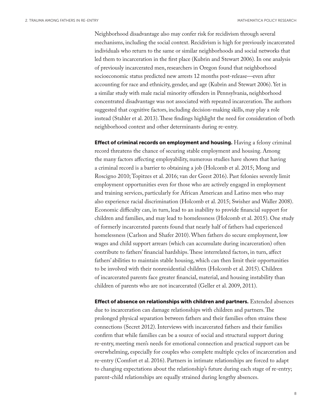Neighborhood disadvantage also may confer risk for recidivism through several mechanisms, including the social context. Recidivism is high for previously incarcerated individuals who return to the same or similar neighborhoods and social networks that led them to incarceration in the first place (Kubrin and Stewart 2006). In one analysis of previously incarcerated men, researchers in Oregon found that neighborhood socioeconomic status predicted new arrests 12 months post-release—even after accounting for race and ethnicity, gender, and age (Kubrin and Stewart 2006). Yet in a similar study with male racial minority offenders in Pennsylvania, neighborhood concentrated disadvantage was not associated with repeated incarceration. The authors suggested that cognitive factors, including decision-making skills, may play a role instead (Stahler et al. 2013). These findings highlight the need for consideration of both neighborhood context and other determinants during re-entry.

**Effect of criminal records on employment and housing.** Having a felony criminal record threatens the chance of securing stable employment and housing. Among the many factors affecting employability, numerous studies have shown that having a criminal record is a barrier to obtaining a job (Holcomb et al. 2015; Mong and Roscigno 2010; Topitzes et al. 2016; van der Geest 2016). Past felonies severely limit employment opportunities even for those who are actively engaged in employment and training services, particularly for African American and Latino men who may also experience racial discrimination (Holcomb et al. 2015; Swisher and Waller 2008). Economic difficulty can, in turn, lead to an inability to provide financial support for children and families, and may lead to homelessness (Holcomb et al. 2015). One study of formerly incarcerated parents found that nearly half of fathers had experienced homelessness (Carlson and Shafer 2010). When fathers do secure employment, low wages and child support arrears (which can accumulate during incarceration) often contribute to fathers' financial hardships. These interrelated factors, in turn, affect fathers' abilities to maintain stable housing, which can then limit their opportunities to be involved with their nonresidential children (Holcomb et al. 2015). Children of incarcerated parents face greater financial, material, and housing instability than children of parents who are not incarcerated (Geller et al. 2009, 2011).

**Effect of absence on relationships with children and partners.** Extended absences due to incarceration can damage relationships with children and partners. The prolonged physical separation between fathers and their families often strains these connections (Secret 2012). Interviews with incarcerated fathers and their families confirm that while families can be a source of social and structural support during re-entry, meeting men's needs for emotional connection and practical support can be overwhelming, especially for couples who complete multiple cycles of incarceration and re-entry (Comfort et al. 2016). Partners in intimate relationships are forced to adapt to changing expectations about the relationship's future during each stage of re-entry; parent-child relationships are equally strained during lengthy absences.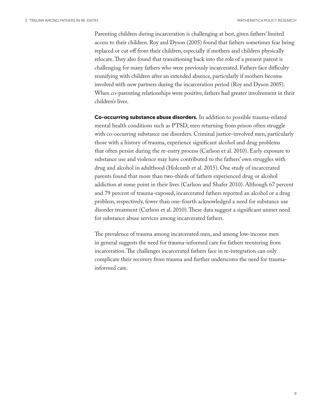Parenting children during incarceration is challenging at best, given fathers' limited access to their children. Roy and Dyson (2005) found that fathers sometimes fear being replaced or cut off from their children, especially if mothers and children physically relocate. They also found that transitioning back into the role of a present parent is challenging for many fathers who were previously incarcerated. Fathers face difficulty reunifying with children after an extended absence, particularly if mothers become involved with new partners during the incarceration period (Roy and Dyson 2005). When co-parenting relationships were positive, fathers had greater involvement in their children's lives.

Co-occurring substance abuse disorders. In addition to possible trauma-related mental health conditions such as PTSD, men returning from prison often struggle with co-occurring substance use disorders. Criminal justice–involved men, particularly those with a history of trauma, experience significant alcohol and drug problems that often persist during the re-entry process (Carlson et al. 2010). Early exposure to substance use and violence may have contributed to the fathers' own struggles with drug and alcohol in adulthood (Holcomb et al. 2015). One study of incarcerated parents found that more than two-thirds of fathers experienced drug or alcohol addiction at some point in their lives (Carlson and Shafer 2010). Although 67 percent and 79 percent of trauma-exposed, incarcerated fathers reported an alcohol or a drug problem, respectively, fewer than one-fourth acknowledged a need for substance use disorder treatment (Carlson et al. 2010). These data suggest a significant unmet need for substance abuse services among incarcerated fathers.

The prevalence of trauma among incarcerated men, and among low-income men in general suggests the need for trauma-informed care for fathers reentering from incarceration. The challenges incarcerated fathers face in re-integration can only complicate their recovery from trauma and further underscores the need for traumainformed care.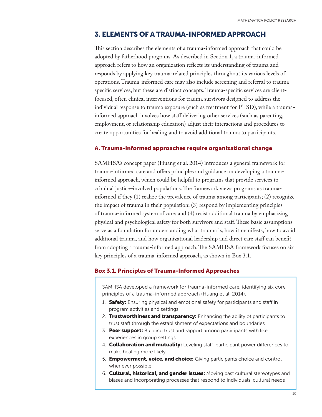### 3. ELEMENTS OF A TRAUMA-INFORMED APPROACH

This section describes the elements of a trauma-informed approach that could be adopted by fatherhood programs. As described in Section 1, a trauma-informed approach refers to how an organization reflects its understanding of trauma and responds by applying key trauma-related principles throughout its various levels of operations. Trauma-informed care may also include screening and referral to traumaspecific services, but these are distinct concepts. Trauma-specific services are clientfocused, often clinical interventions for trauma survivors designed to address the individual response to trauma exposure (such as treatment for PTSD), while a traumainformed approach involves how staff delivering other services (such as parenting, employment, or relationship education) adjust their interactions and procedures to create opportunities for healing and to avoid additional trauma to participants.

#### A. Trauma-informed approaches require organizational change

SAMHSA's concept paper (Huang et al. 2014) introduces a general framework for trauma-informed care and offers principles and guidance on developing a traumainformed approach, which could be helpful to programs that provide services to criminal justice–involved populations. The framework views programs as traumainformed if they (1) realize the prevalence of trauma among participants; (2) recognize the impact of trauma in their population; (3) respond by implementing principles of trauma-informed system of care; and (4) resist additional trauma by emphasizing physical and psychological safety for both survivors and staff. These basic assumptions serve as a foundation for understanding what trauma is, how it manifests, how to avoid additional trauma, and how organizational leadership and direct care staff can benefit from adopting a trauma-informed approach. The SAMHSA framework focuses on six key principles of a trauma-informed approach, as shown in Box 3.1.

#### Box 3.1. Principles of Trauma-Informed Approaches

SAMHSA developed a framework for trauma-informed care, identifying six core principles of a trauma-informed approach (Huang et al. 2014).

- 1. **Safety:** Ensuring physical and emotional safety for participants and staff in program activities and settings
- 2. Trustworthiness and transparency: Enhancing the ability of participants to trust staff through the establishment of expectations and boundaries
- 3. Peer support: Building trust and rapport among participants with like experiences in group settings
- 4. **Collaboration and mutuality:** Leveling staff-participant power differences to make healing more likely
- 5. **Empowerment, voice, and choice:** Giving participants choice and control whenever possible
- 6. Cultural, historical, and gender issues: Moving past cultural stereotypes and biases and incorporating processes that respond to individuals' cultural needs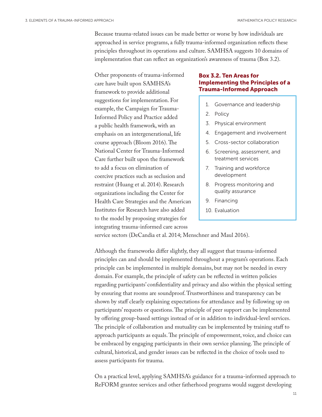Because trauma-related issues can be made better or worse by how individuals are approached in service programs, a fully trauma-informed organization reflects these principles throughout its operations and culture. SAMHSA suggests 10 domains of implementation that can reflect an organization's awareness of trauma (Box 3.2).

Other proponents of trauma-informed care have built upon SAMHSA's framework to provide additional suggestions for implementation. For example, the Campaign for Trauma-Informed Policy and Practice added a public health framework, with an emphasis on an intergenerational, life course approach (Bloom 2016). The National Center for Trauma-Informed Care further built upon the framework to add a focus on elimination of coercive practices such as seclusion and restraint (Huang et al. 2014). Research organizations including the Center for Health Care Strategies and the American Institutes for Research have also added to the model by proposing strategies for integrating trauma-informed care across

### Box 3.2. Ten Areas for Implementing the Principles of a Trauma-Informed Approach

- 1. Governance and leadership
- 2. Policy
- 3. Physical environment
- 4. Engagement and involvement
- 5. Cross-sector collaboration
- 6. Screening, assessment, and treatment services
- 7. Training and workforce development
- 8. Progress monitoring and quality assurance
- 9. Financing
- 10. Evaluation

service sectors (DeCandia et al. 2014; Menschner and Maul 2016).

Although the frameworks differ slightly, they all suggest that trauma-informed principles can and should be implemented throughout a program's operations. Each principle can be implemented in multiple domains, but may not be needed in every domain. For example, the principle of safety can be reflected in written policies regarding participants' confidentiality and privacy and also within the physical setting by ensuring that rooms are soundproof. Trustworthiness and transparency can be shown by staff clearly explaining expectations for attendance and by following up on participants' requests or questions. The principle of peer support can be implemented by offering group-based settings instead of or in addition to individual-level services. The principle of collaboration and mutuality can be implemented by training staff to approach participants as equals. The principle of empowerment, voice, and choice can be embraced by engaging participants in their own service planning. The principle of cultural, historical, and gender issues can be reflected in the choice of tools used to assess participants for trauma.

On a practical level, applying SAMHSA's guidance for a trauma-informed approach to ReFORM grantee services and other fatherhood programs would suggest developing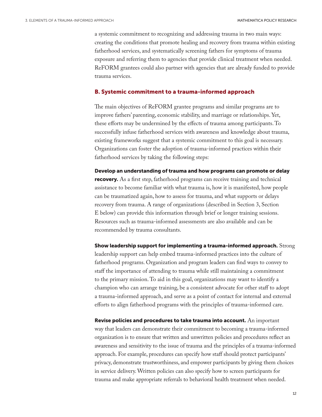a systemic commitment to recognizing and addressing trauma in two main ways: creating the conditions that promote healing and recovery from trauma within existing fatherhood services, and systematically screening fathers for symptoms of trauma exposure and referring them to agencies that provide clinical treatment when needed. ReFORM grantees could also partner with agencies that are already funded to provide trauma services.

#### B. Systemic commitment to a trauma-informed approach

The main objectives of ReFORM grantee programs and similar programs are to improve fathers' parenting, economic stability, and marriage or relationships. Yet, these efforts may be undermined by the effects of trauma among participants. To successfully infuse fatherhood services with awareness and knowledge about trauma, existing frameworks suggest that a systemic commitment to this goal is necessary. Organizations can foster the adoption of trauma-informed practices within their fatherhood services by taking the following steps:

Develop an understanding of trauma and how programs can promote or delay recovery. As a first step, fatherhood programs can receive training and technical assistance to become familiar with what trauma is, how it is manifested, how people can be traumatized again, how to assess for trauma, and what supports or delays recovery from trauma. A range of organizations (described in Section 3, Section E below) can provide this information through brief or longer training sessions. Resources such as trauma-informed assessments are also available and can be recommended by trauma consultants.

Show leadership support for implementing a trauma-informed approach. Strong leadership support can help embed trauma-informed practices into the culture of fatherhood programs. Organization and program leaders can find ways to convey to staff the importance of attending to trauma while still maintaining a commitment to the primary mission. To aid in this goal, organizations may want to identify a champion who can arrange training, be a consistent advocate for other staff to adopt a trauma-informed approach, and serve as a point of contact for internal and external efforts to align fatherhood programs with the principles of trauma-informed care.

Revise policies and procedures to take trauma into account. An important way that leaders can demonstrate their commitment to becoming a trauma-informed organization is to ensure that written and unwritten policies and procedures reflect an awareness and sensitivity to the issue of trauma and the principles of a trauma-informed approach. For example, procedures can specify how staff should protect participants' privacy, demonstrate trustworthiness, and empower participants by giving them choices in service delivery. Written policies can also specify how to screen participants for trauma and make appropriate referrals to behavioral health treatment when needed.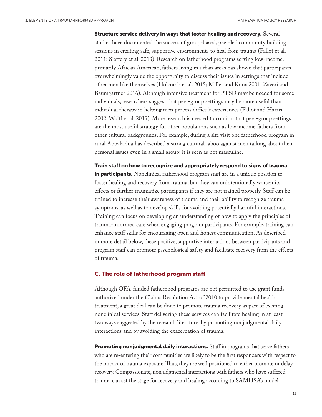Structure service delivery in ways that foster healing and recovery. Several studies have documented the success of group-based, peer-led community building sessions in creating safe, supportive environments to heal from trauma (Fallot et al. 2011; Slattery et al. 2013). Research on fatherhood programs serving low-income, primarily African American, fathers living in urban areas has shown that participants overwhelmingly value the opportunity to discuss their issues in settings that include other men like themselves (Holcomb et al. 2015; Miller and Knox 2001; Zaveri and Baumgartner 2016). Although intensive treatment for PTSD may be needed for some individuals, researchers suggest that peer-group settings may be more useful than individual therapy in helping men process difficult experiences (Fallot and Harris 2002; Wolff et al. 2015). More research is needed to confirm that peer-group settings are the most useful strategy for other populations such as low-income fathers from other cultural backgrounds. For example, during a site visit one fatherhood program in rural Appalachia has described a strong cultural taboo against men talking about their personal issues even in a small group; it is seen as not masculine.

Train staff on how to recognize and appropriately respond to signs of trauma in participants. Nonclinical fatherhood program staff are in a unique position to foster healing and recovery from trauma, but they can unintentionally worsen its effects or further traumatize participants if they are not trained properly. Staff can be trained to increase their awareness of trauma and their ability to recognize trauma symptoms, as well as to develop skills for avoiding potentially harmful interactions. Training can focus on developing an understanding of how to apply the principles of trauma-informed care when engaging program participants. For example, training can enhance staff skills for encouraging open and honest communication. As described in more detail below, these positive, supportive interactions between participants and program staff can promote psychological safety and facilitate recovery from the effects of trauma.

#### C. The role of fatherhood program staff

Although OFA-funded fatherhood programs are not permitted to use grant funds authorized under the Claims Resolution Act of 2010 to provide mental health treatment, a great deal can be done to promote trauma recovery as part of existing nonclinical services. Staff delivering these services can facilitate healing in at least two ways suggested by the research literature: by promoting nonjudgmental daily interactions and by avoiding the exacerbation of trauma.

Promoting nonjudgmental daily interactions. Staff in programs that serve fathers who are re-entering their communities are likely to be the first responders with respect to the impact of trauma exposure. Thus, they are well positioned to either promote or delay recovery. Compassionate, nonjudgmental interactions with fathers who have suffered trauma can set the stage for recovery and healing according to SAMHSA's model.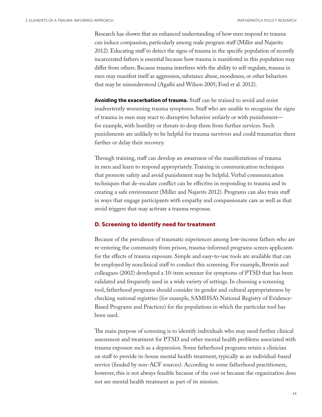Research has shown that an enhanced understanding of how men respond to trauma can induce compassion, particularly among male program staff (Miller and Najavits 2012). Educating staff to detect the signs of trauma in the specific population of recently incarcerated fathers is essential because how trauma is manifested in this population may differ from others. Because trauma interferes with the ability to self-regulate, trauma in men may manifest itself as aggression, substance abuse, moodiness, or other behaviors that may be misunderstood (Agaibi and Wilson 2005; Ford et al. 2012).

Avoiding the exacerbation of trauma. Staff can be trained to avoid and resist inadvertently worsening trauma symptoms. Staff who are unable to recognize the signs of trauma in men may react to disruptive behavior unfairly or with punishment for example, with hostility or threats to drop them from further services. Such punishments are unlikely to be helpful for trauma survivors and could traumatize them further or delay their recovery.

Through training, staff can develop an awareness of the manifestations of trauma in men and learn to respond appropriately. Training in communication techniques that promote safety and avoid punishment may be helpful. Verbal communication techniques that de-escalate conflict can be effective in responding to trauma and in creating a safe environment (Miller and Najavits 2012). Programs can also train staff in ways that engage participants with empathy and compassionate care as well as that avoid triggers that may activate a trauma response.

#### D. Screening to identify need for treatment

Because of the prevalence of traumatic experiences among low-income fathers who are re-entering the community from prison, trauma-informed programs screen applicants for the effects of trauma exposure. Simple and easy-to-use tools are available that can be employed by nonclinical staff to conduct this screening. For example, Brewin and colleagues (2002) developed a 10-item screener for symptoms of PTSD that has been validated and frequently used in a wide variety of settings. In choosing a screening tool, fatherhood programs should consider its gender and cultural appropriateness by checking national registries (for example, [SAMHSA's National Registry of Evidence-](https://www.samhsa.gov/capt/tools-learning-resources/national-registry-evidence-based-programs)[Based Programs and Practices](https://www.samhsa.gov/capt/tools-learning-resources/national-registry-evidence-based-programs)) for the populations in which the particular tool has been used.

The main purpose of screening is to identify individuals who may need further clinical assessment and treatment for PTSD and other mental health problems associated with trauma exposure such as a depression. Some fatherhood programs retain a clinician on staff to provide in-house mental health treatment, typically as an individual-based service (funded by non-ACF sources). According to some fatherhood practitioners, however, this is not always feasible because of the cost or because the organization does not see mental health treatment as part of its mission.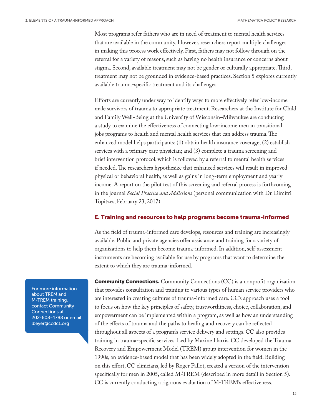Most programs refer fathers who are in need of treatment to mental health services that are available in the community. However, researchers report multiple challenges in making this process work effectively. First, fathers may not follow through on the referral for a variety of reasons, such as having no health insurance or concerns about stigma. Second, available treatment may not be gender or culturally appropriate. Third, treatment may not be grounded in evidence-based practices. Section 5 explores currently available trauma-specific treatment and its challenges.

Efforts are currently under way to identify ways to more effectively refer low-income male survivors of trauma to appropriate treatment. Researchers at the Institute for Child and Family Well-Being at the University of Wisconsin–Milwaukee are conducting a study to examine the effectiveness of connecting low-income men in transitional jobs programs to health and mental health services that can address trauma. The enhanced model helps participants: (1) obtain health insurance coverage; (2) establish services with a primary care physician; and (3) complete a trauma screening and brief intervention protocol, which is followed by a referral to mental health services if needed. The researchers hypothesize that enhanced services will result in improved physical or behavioral health, as well as gains in long-term employment and yearly income. A report on the pilot test of this screening and referral process is forthcoming in the journal *Social Practice and Addictions* (personal communication with Dr. Dimitri Topitzes, February 23, 2017).

#### E. Training and resources to help programs become trauma-informed

As the field of trauma-informed care develops, resources and training are increasingly available. Public and private agencies offer assistance and training for a variety of organizations to help them become trauma-informed. In addition, self-assessment instruments are becoming available for use by programs that want to determine the extent to which they are trauma-informed.

**[Community Connections](http://www.communityconnectionsdc.org/).** Community Connections (CC) is a nonprofit organization that provides consultation and training to various types of human service providers who are interested in creating cultures of trauma-informed care. CC's approach uses a tool to focus on how the key principles of safety, trustworthiness, choice, collaboration, and empowerment can be implemented within a program, as well as how an understanding of the effects of trauma and the paths to healing and recovery can be reflected throughout all aspects of a program's service delivery and settings. CC also provides training in trauma-specific services. Led by Maxine Harris, CC developed the [Trauma](http://www.communityconnectionsdc.org/training-and-store/store#!/Trauma-Recovery-&-Empowerment-A-Clinic)  [Recovery and Empowerment Model](http://www.communityconnectionsdc.org/training-and-store/store#!/Trauma-Recovery-&-Empowerment-A-Clinic) (TREM) group intervention for women in the 1990s, an evidence-based model that has been widely adopted in the field. Building on this effort, CC clinicians, led by Roger Fallot, created a version of the intervention specifically for men in 2005, called [M-TREM](http://www.communityconnectionsdc.org/training-and-store/store#!/Mens-Trauma-Recovery-and-Empowerment-M) (described in more detail in Section 5). CC is currently conducting a rigorous evaluation of M-TREM's effectiveness.

For more information about TREM and M-TREM training, contact Community Connections at 202-608-4788 or email [lbeyer@ccdc1.org](mailto:lbeyer%40ccdc1.org?subject=)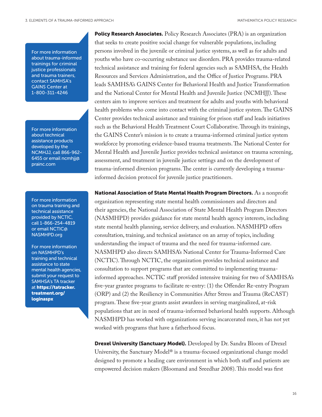For more information about trauma-informed trainings for criminal justice professionals and trauma trainers, contact SAMHSA's GAINS Center at 1-800-311-4246

For more information about technical assistance products developed by the NCMHJJ, call 866-962- 6455 or email [ncmhjj@](mailto:ncmhjj%40prainc.com?subject=) [prainc.com](mailto:ncmhjj%40prainc.com?subject=)

For more information on trauma training and technical assistance provided by NCTIC, call 1-866-254-4819 or email NCTIC@ NASMHPD.org

For more information on NASMHPD's training and technical assistance to state mental health agencies, submit your request to SAMHSA's TA tracker at [https://tatracker.](https://tatracker.treatment.org/loginaspx)  [treatment.org/](https://tatracker.treatment.org/loginaspx)  [loginaspx](https://tatracker.treatment.org/loginaspx)

**Policy Research Associates.** [Policy Research Associates](https://www.prainc.com) (PRA) is an organization that seeks to create positive social change for vulnerable populations, including persons involved in the juvenile or criminal justice systems, as well as for adults and youths who have co-occurring substance use disorders. PRA provides trauma-related technical assistance and training for federal agencies such as SAMHSA, the Health Resources and Services Administration, and the Office of Justice Programs. PRA leads [SAMHSA's GAINS Center for Behavioral Health and Justice Transformation](https://www.samhsa.gov/gains-center) and the [National Center for Mental Health and Juvenile Justice](https://www.ncmhjj.com/) (NCMHJJ). These centers aim to improve services and treatment for adults and youths with behavioral health problems who come into contact with the criminal justice system. The GAINS Center provides technical assistance and training for prison staff and leads initiatives such as the Behavioral Health Treatment Court Collaborative. Through its trainings, the GAINS Center's mission is to create a trauma-informed criminal justice system workforce by promoting evidence-based trauma treatments. The National Center for Mental Health and Juvenile Justice provides technical assistance on trauma screening, assessment, and treatment in juvenile justice settings and on the development of trauma-informed diversion programs. The center is currently developing a traumainformed decision protocol for juvenile justice practitioners.

National Association of State Mental Health Program Directors. As a nonprofit organization representing state mental health commissioners and directors and their agencies, the [National Association of State Mental Health Program Directors](http://dev.nasmhpd.seiservices.com/) (NASMHPD) provides guidance for state mental health agency interests, including state mental health planning, service delivery, and evaluation. [NASMHPD offers](http://dev.nasmhpd.seiservices.com/content/technical-assistance-state-mental-health-agencies)  [consultation, training, and technical assistance](http://dev.nasmhpd.seiservices.com/content/technical-assistance-state-mental-health-agencies) on an array of topics, including understanding the impact of trauma and the need for trauma-informed care. NASMHPD also directs SAMHSA's [National Center for Trauma-Informed Care](http://dev.nasmhpd.seiservices.com/content/national-center-trauma-informed-care-nctic-0) (NCTIC). Through NCTIC, the organization provides [technical assistance and](https://www.samhsa.gov/nctic/training-technical-assistance)  [consultation](https://www.samhsa.gov/nctic/training-technical-assistance) to support programs that are committed to implementing traumainformed approaches. NCTIC staff provided intensive training for two of SAMHSA's five-year grantee programs to facilitate re-entry: (1) the Offender Re-entry Program (ORP) and (2) the Resiliency in Communities After Stress and Trauma (ReCAST) program. These five-year grants assist awardees in serving marginalized, at-risk populations that are in need of trauma-informed behavioral health supports. Although NASMHPD has worked with organizations serving incarcerated men, it has not yet worked with programs that have a fatherhood focus.

Drexel University (Sanctuary Model). Developed by Dr. Sandra Bloom of Drexel University, t[he Sanctuary Model®](http://sanctuaryweb.com/TheSanctuaryModel.aspx) is a trauma-focused organizational change model designed to promote a healing care environment in which both staff and patients are empowered decision makers (Bloomand and Sreedhar 2008). This model was first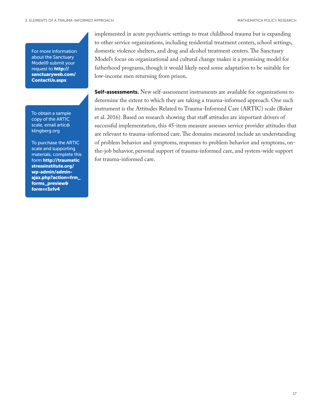For more information about the Sanctuary Model® submit your request to [http://](http://sanctuaryweb.com/ContactUs.aspx) [sanctuaryweb.com/](http://sanctuaryweb.com/ContactUs.aspx) [ContactUs.aspx](http://sanctuaryweb.com/ContactUs.aspx)

To obtain a sample copy of the ARTIC scale, email [artic@](mailto:artic%40klingberg.org?subject=) [klingberg.org](mailto:artic%40klingberg.org?subject=)

To purchase the ARTIC scale and supporting materials, complete this form [http://traumatic](http://traumaticstressinstitute.org/wp-admin/admin-ajax.php?action=frm_forms_preview&form=r3xfv4)  [stressinstitute.org/](http://traumaticstressinstitute.org/wp-admin/admin-ajax.php?action=frm_forms_preview&form=r3xfv4) [wp-admin/admin](http://traumaticstressinstitute.org/wp-admin/admin-ajax.php?action=frm_forms_preview&form=r3xfv4)[ajax.php?action=frm\\_](http://traumaticstressinstitute.org/wp-admin/admin-ajax.php?action=frm_forms_preview&form=r3xfv4) [forms\\_preview&](http://traumaticstressinstitute.org/wp-admin/admin-ajax.php?action=frm_forms_preview&form=r3xfv4)  [form=r3xfv4](http://traumaticstressinstitute.org/wp-admin/admin-ajax.php?action=frm_forms_preview&form=r3xfv4)

implemented in acute psychiatric settings to treat childhood trauma but is expanding to other service organizations, including residential treatment centers, school settings, domestic violence shelters, and drug and alcohol treatment centers. The Sanctuary Model's focus on organizational and cultural change makes it a promising model for fatherhood programs, though it would likely need some adaptation to be suitable for low-income men returning from prison.

**Self-assessments.** New self-assessment instruments are available for organizations to determine the extent to which they are taking a trauma-informed approach. One such instrument is the [Attitudes Related to Trauma-Informed Care \(ARTIC\) scale](http://traumaticstressinstitute.org/wp-content/uploads/2016/01/Baker-Brown-Wilcox-2015-FINAL.pdf) (Baker et al. 2016). Based on research showing that staff attitudes are important drivers of successful implementation, this 45-item measure assesses service provider attitudes that are relevant to trauma-informed care. The domains measured include an understanding of problem behavior and symptoms, responses to problem behavior and symptoms, onthe-job behavior, personal support of trauma-informed care, and system-wide support for trauma-informed care.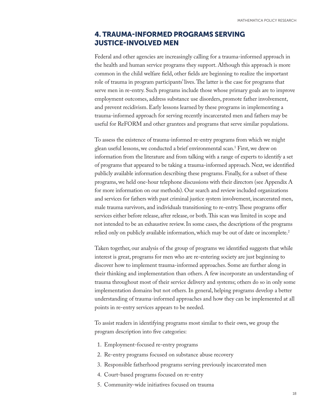## 4. TRAUMA-INFORMED PROGRAMS SERVING JUSTICE-INVOLVED MEN

Federal and other agencies are increasingly calling for a trauma-informed approach in the health and human service programs they support. Although this approach is more common in the child welfare field, other fields are beginning to realize the important role of trauma in program participants' lives. The latter is the case for programs that serve men in re-entry. Such programs include those whose primary goals are to improve employment outcomes, address substance use disorders, promote father involvement, and prevent recidivism. Early lessons learned by these programs in implementing a trauma-informed approach for serving recently incarcerated men and fathers may be useful for ReFORM and other grantees and programs that serve similar populations.

To assess the existence of trauma-informed re-entry programs from which we might glean useful lessons, we conducted a brief environmental scan.1 First, we drew on information from the literature and from talking with a range of experts to identify a set of programs that appeared to be taking a trauma-informed approach. Next, we identified publicly available information describing these programs. Finally, for a subset of these programs, we held one-hour telephone discussions with their directors (see Appendix A for more information on our methods). Our search and review included organizations and services for fathers with past criminal justice system involvement, incarcerated men, male trauma survivors, and individuals transitioning to re-entry. These programs offer services either before release, after release, or both. This scan was limited in scope and not intended to be an exhaustive review. In some cases, the descriptions of the programs relied only on publicly available information, which may be out of date or incomplete.<sup>2</sup>

Taken together, our analysis of the group of programs we identified suggests that while interest is great, programs for men who are re-entering society are just beginning to discover how to implement trauma-informed approaches. Some are further along in their thinking and implementation than others. A few incorporate an understanding of trauma throughout most of their service delivery and systems; others do so in only some implementation domains but not others. In general, helping programs develop a better understanding of trauma-informed approaches and how they can be implemented at all points in re-entry services appears to be needed.

To assist readers in identifying programs most similar to their own, we group the program description into five categories:

- 1. Employment-focused re-entry programs
- 2. Re-entry programs focused on substance abuse recovery
- 3. Responsible fatherhood programs serving previously incarcerated men
- 4. Court-based programs focused on re-entry
- 5. Community-wide initiatives focused on trauma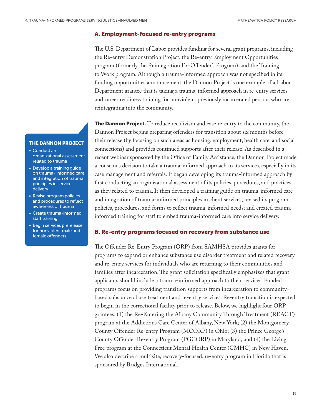### A. Employment-focused re-entry programs

The U.S. Department of Labor provides funding for several grant programs, including the Re-entry Demonstration Project, the Re-entry Employment Opportunities program (formerly the Reintegration Ex-Offender's Program), and the Training to Work program. Although a trauma-informed approach was not specified in its funding opportunities announcement, the Dannon Project is one example of a Labor Department grantee that is taking a trauma-informed approach in re-entry services and career readiness training for nonviolent, previously incarcerated persons who are reintegrating into the community.

**The Dannon Project.** To reduce recidivism and ease re-entry to the community, the Dannon Project begins preparing offenders for transition about six months before their release (by focusing on such areas as housing, employment, health care, and social connections) and provides continued supports after their release. As described in a recent webinar sponsored by the Office of Family Assistance, the Dannon Project made a conscious decision to take a trauma-informed approach to its services, especially in its case management and referrals. It began developing its trauma-informed approach by first conducting an organizational assessment of its policies, procedures, and practices as they related to trauma. It then developed a training guide on trauma-informed care and integration of trauma-informed principles in client services; revised its program policies, procedures, and forms to reflect trauma-informed needs; and created traumainformed training for staff to embed trauma-informed care into service delivery.

#### B. Re-entry programs focused on recovery from substance use

The Offender Re-Entry Program (ORP) from SAMHSA provides grants for programs to expand or enhance substance use disorder treatment and related recovery and re-entry services for individuals who are returning to their communities and families after incarceration. The grant solicitation specifically emphasizes that grant applicants should include a trauma-informed approach to their services. Funded programs focus on providing transition supports from incarceration to communitybased substance abuse treatment and re-entry services. Re-entry transition is expected to begin in the correctional facility prior to release. Below, we highlight four ORP grantees: (1) the Re-Entering the Albany Community Through Treatment (REACT) program at the Addictions Care Center of Albany, New York; (2) the Montgomery County Offender Re-entry Program (MCORP) in Ohio; (3) the Prince George's County Offender Re-entry Program (PGCORP) in Maryland; and (4) the Living Free program at the Connecticut Mental Health Center (CMHC) in New Haven. We also describe a multisite, recovery-focused, re-entry program in Florida that is sponsored by Bridges International.

### THE DANNON PROJECT

- Conduct an organizational assessment related to trauma
- Develop a training guide on trauma- informed care and integration of trauma principles in service delivery
- Revise program policies and procedures to reflect awareness of trauma
- Create trauma-informed staff training
- Begin services prerelease for nonviolent male and female offenders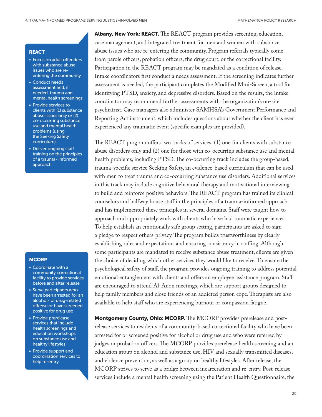#### REACT

- Focus on adult offenders with substance abuse issues who are reentering the community
- Conduct needs assessment and, if needed, trauma and mental health screenings
- Provide services to clients with (1) substance abuse issues only or (2) co-occurring substance use and mental health problems (using the Seeking Safety curriculum)
- Deliver ongoing staff training on the principles of a trauma- informed approach

#### **MCORP**

- Coordinate with a community correctional facility to provide services before and after release
- Serve participants who have been arrested for an alcohol- or drug-related offense or have screened positive for drug use
- Provide prerelease services that include health screenings and education workshops on substance use and healthy lifestyles
- Provide support and coordination services to help re-entry

Albany, New York: REACT. The REACT program provides screening, education, case management, and integrated treatment for men and women with substance abuse issues who are re-entering the community. Program referrals typically come from parole officers, probation officers, the drug court, or the correctional facility. Participation in the REACT program may be mandated as a condition of release. Intake coordinators first conduct a needs assessment. If the screening indicates further assessment is needed, the participant completes the Modified Mini-Screen, a tool for identifying PTSD, anxiety, and depressive disorders. Based on the results, the intake coordinator may recommend further assessments with the organization's on-site psychiatrist. Case managers also administer SAMHSA's Government Performance and Reporting Act instrument, which includes questions about whether the client has ever experienced any traumatic event (specific examples are provided).

The REACT program offers two tracks of services: (1) one for clients with substance abuse disorders only and (2) one for those with co-occurring substance use and mental health problems, including PTSD. The co-occurring track includes the group-based, trauma-specific service Seeking Safety, an evidence-based curriculum that can be used with men to treat trauma and co-occurring substance use disorders. Additional services in this track may include cognitive behavioral therapy and motivational interviewing to build and reinforce positive behaviors. The REACT program has trained its clinical counselors and halfway house staff in the principles of a trauma-informed approach and has implemented these principles in several domains. Staff were taught how to approach and appropriately work with clients who have had traumatic experiences. To help establish an emotionally safe group setting, participants are asked to sign a pledge to respect others' privacy. The program builds trustworthiness by clearly establishing rules and expectations and ensuring consistency in staffing. Although some participants are mandated to receive substance abuse treatment, clients are given the choice of deciding which other services they would like to receive. To ensure the psychological safety of staff, the program provides ongoing training to address potential emotional entanglement with clients and offers an employee assistance program. Staff are encouraged to attend Al-Anon meetings, which are support groups designed to help family members and close friends of an addicted person cope. Therapists are also available to help staff who are experiencing burnout or compassion fatigue.

Montgomery County, Ohio: MCORP. The MCORP provides prerelease and postrelease services to residents of a community-based correctional facility who have been arrested for or screened positive for alcohol or drug use and who were referred by judges or probation officers. The MCORP provides prerelease health screening and an education group on alcohol and substance use, HIV and sexually transmitted diseases, and violence prevention, as well as a group on healthy lifestyles. After release, the MCORP strives to serve as a bridge between incarceration and re-entry. Post-release services include a mental health screening using the Patient Health Questionnaire, the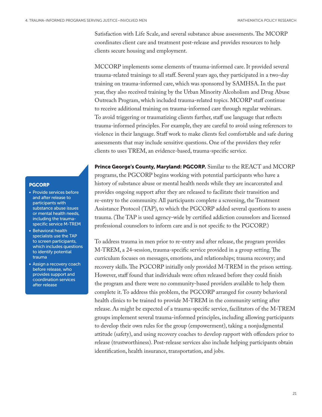Satisfaction with Life Scale, and several substance abuse assessments. The MCORP coordinates client care and treatment post-release and provides resources to help clients secure housing and employment.

MCCORP implements some elements of trauma-informed care. It provided several trauma-related trainings to all staff. Several years ago, they participated in a two-day training on trauma-informed care, which was sponsored by SAMHSA. In the past year, they also received training by the Urban Minority Alcoholism and Drug Abuse Outreach Program, which included trauma-related topics. MCORP staff continue to receive additional training on trauma-informed care through regular webinars. To avoid triggering or traumatizing clients further, staff use language that reflects trauma-informed principles. For example, they are careful to avoid using references to violence in their language. Staff work to make clients feel comfortable and safe during assessments that may include sensitive questions. One of the providers they refer clients to uses TREM, an evidence-based, trauma-specific service.

**Prince George's County, Maryland: PGCORP.** Similar to the REACT and MCORP programs, the PGCORP begins working with potential participants who have a history of substance abuse or mental health needs while they are incarcerated and provides ongoing support after they are released to facilitate their transition and re-entry to the community. All participants complete a screening, the Treatment Assistance Protocol (TAP), to which the PGCORP added several questions to assess trauma. (The TAP is used agency-wide by certified addiction counselors and licensed professional counselors to inform care and is not specific to the PGCORP.)

To address trauma in men prior to re-entry and after release, the program provides M-TREM, a 24-session, trauma-specific service provided in a group setting. The curriculum focuses on messages, emotions, and relationships; trauma recovery; and recovery skills. The PGCORP initially only provided M-TREM in the prison setting. However, staff found that individuals were often released before they could finish the program and there were no community-based providers available to help them complete it. To address this problem, the PGCORP arranged for county behavioral health clinics to be trained to provide M-TREM in the community setting after release. As might be expected of a trauma-specific service, facilitators of the M-TREM groups implement several trauma-informed principles, including allowing participants to develop their own rules for the group (empowerment), taking a nonjudgmental attitude (safety), and using recovery coaches to develop rapport with offenders prior to release (trustworthiness). Post-release services also include helping participants obtain identification, health insurance, transportation, and jobs.

#### PGCORP

- Provide services before and after release to participants with substance abuse issues or mental health needs, including the traumaspecific service M-TREM
- Behavioral health specialists use the TAP to screen participants, which includes questions to identify potential trauma
- Assign a recovery coach before release, who provides support and coordination services after release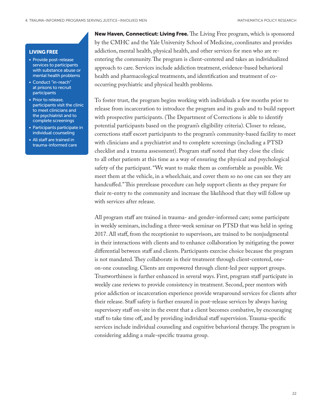### LIVING FREE

- Provide post-release services to participants with substance abuse or mental health problems
- Conduct "in-reach" at prisons to recruit participants
- Prior to release, participants visit the clinic to meet clinicians and the psychiatrist and to complete screenings
- Participants participate in individual counseling
- All staff are trained in trauma-informed care

New Haven, Connecticut: Living Free. The Living Free program, which is sponsored by the CMHC and the Yale University School of Medicine, coordinates and provides addiction, mental health, physical health, and other services for men who are reentering the community. The program is client-centered and takes an individualized approach to care. Services include addiction treatment, evidence-based behavioral health and pharmacological treatments, and identification and treatment of cooccurring psychiatric and physical health problems.

To foster trust, the program begins working with individuals a few months prior to release from incarceration to introduce the program and its goals and to build rapport with prospective participants. (The Department of Corrections is able to identify potential participants based on the program's eligibility criteria). Closer to release, corrections staff escort participants to the program's community-based facility to meet with clinicians and a psychiatrist and to complete screenings (including a PTSD checklist and a trauma assessment). Program staff noted that they close the clinic to all other patients at this time as a way of ensuring the physical and psychological safety of the participant. "We want to make them as comfortable as possible. We meet them at the vehicle, in a wheelchair, and cover them so no one can see they are handcuffed." This prerelease procedure can help support clients as they prepare for their re-entry to the community and increase the likelihood that they will follow up with services after release.

All program staff are trained in trauma- and gender-informed care; some participate in weekly seminars, including a three-week seminar on PTSD that was held in spring 2017. All staff, from the receptionist to supervisors, are trained to be nonjudgmental in their interactions with clients and to enhance collaboration by mitigating the power differential between staff and clients. Participants exercise choice because the program is not mandated. They collaborate in their treatment through client-centered, oneon-one counseling. Clients are empowered through client-led peer support groups. Trustworthiness is further enhanced in several ways. First, program staff participate in weekly case reviews to provide consistency in treatment. Second, peer mentors with prior addiction or incarceration experience provide wraparound services for clients after their release. Staff safety is further ensured in post-release services by always having supervisory staff on-site in the event that a client becomes combative, by encouraging staff to take time off, and by providing individual staff supervision. Trauma-specific services include individual counseling and cognitive behavioral therapy. The program is considering adding a male-specific trauma group.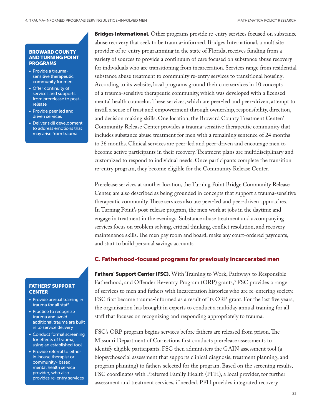#### BROWARD COUNTY AND TURNING POINT PROGRAMS

- Provide a traumasensitive therapeutic community for men
- Offer continuity of services and supports from prerelease to postrelease
- Provide peer led and driven services
- Deliver skill development to address emotions that may arise from trauma

### FATHERS' SUPPORT **CENTER**

- Provide annual training in trauma for all staff
- Practice to recognize trauma and avoid additional trauma are built in to service delivery
- Conduct formal screening for effects of trauma, using an established tool
- Provide referral to either in-house therapist or community- based mental health service provider, who also provides re-entry services

**Bridges International.** Other programs provide re-entry services focused on substance abuse recovery that seek to be trauma-informed. Bridges International, a multisite provider of re-entry programming in the state of Florida, receives funding from a variety of sources to provide a continuum of care focused on substance abuse recovery for individuals who are transitioning from incarceration. Services range from residential substance abuse treatment to community re-entry services to transitional housing. According to its website, local programs ground their core services in 10 concepts of a trauma-sensitive therapeutic community, which was developed with a licensed mental health counselor. These services, which are peer-led and peer-driven, attempt to instill a sense of trust and empowerment through ownership, responsibility, direction, and decision making skills. One location, the Broward County Treatment Center/ Community Release Center provides a trauma-sensitive therapeutic community that includes substance abuse treatment for men with a remaining sentence of 24 months to 36 months. Clinical services are peer-led and peer-driven and encourage men to become active participants in their recovery. Treatment plans are multidisciplinary and customized to respond to individual needs. Once participants complete the transition re-entry program, they become eligible for the Community Release Center.

Prerelease services at another location, the Turning Point Bridge Community Release Center, are also described as being grounded in concepts that support a trauma-sensitive therapeutic community. These services also use peer-led and peer-driven approaches. In Turning Point's post-release program, the men work at jobs in the daytime and engage in treatment in the evenings. Substance abuse treatment and accompanying services focus on problem solving, critical thinking, conflict resolution, and recovery maintenance skills. The men pay room and board, make any court-ordered payments, and start to build personal savings accounts.

### C. Fatherhood-focused programs for previously incarcerated men

Fathers' Support Center (FSC). With Training to Work, Pathways to Responsible Fatherhood, and Offender Re-entry Program (ORP) grants,<sup>3</sup> FSC provides a range of services to men and fathers with incarceration histories who are re-entering society. FSC first became trauma-informed as a result of its ORP grant. For the last five years, the organization has brought in experts to conduct a multiday annual training for all staff that focuses on recognizing and responding appropriately to trauma.

FSC's ORP program begins services before fathers are released from prison. The Missouri Department of Corrections first conducts prerelease assessments to identify eligible participants. FSC then administers the GAIN assessment tool (a biopsychosocial assessment that supports clinical diagnosis, treatment planning, and program planning) to fathers selected for the program. Based on the screening results, FSC coordinates with Preferred Family Health (PFH), a local provider, for further assessment and treatment services, if needed. PFH provides integrated recovery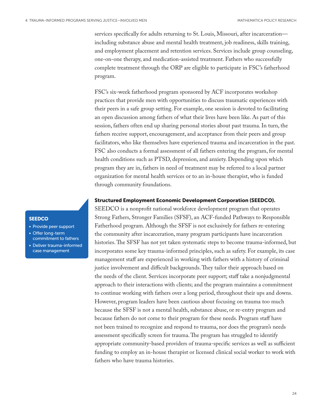services specifically for adults returning to St. Louis, Missouri, after incarceration including substance abuse and mental health treatment, job readiness, skills training, and employment placement and retention services. Services include group counseling, one-on-one therapy, and medication-assisted treatment. Fathers who successfully complete treatment through the ORP are eligible to participate in FSC's fatherhood program.

FSC's six-week fatherhood program sponsored by ACF incorporates workshop practices that provide men with opportunities to discuss traumatic experiences with their peers in a safe group setting. For example, one session is devoted to facilitating an open discussion among fathers of what their lives have been like. As part of this session, fathers often end up sharing personal stories about past trauma. In turn, the fathers receive support, encouragement, and acceptance from their peers and group facilitators, who like themselves have experienced trauma and incarceration in the past. FSC also conducts a formal assessment of all fathers entering the program, for mental health conditions such as PTSD, depression, and anxiety. Depending upon which program they are in, fathers in need of treatment may be referred to a local partner organization for mental health services or to an in-house therapist, who is funded through community foundations.

#### Structured Employment Economic Development Corporation (SEEDCO).

SEEDCO is a nonprofit national workforce development program that operates Strong Fathers, Stronger Families (SFSF), an ACF-funded Pathways to Responsible Fatherhood program. Although the SFSF is not exclusively for fathers re-entering the community after incarceration, many program participants have incarceration histories. The SFSF has not yet taken systematic steps to become trauma-informed, but incorporates some key trauma-informed principles, such as safety. For example, its case management staff are experienced in working with fathers with a history of criminal justice involvement and difficult backgrounds. They tailor their approach based on the needs of the client. Services incorporate peer support; staff take a nonjudgmental approach to their interactions with clients; and the program maintains a commitment to continue working with fathers over a long period, throughout their ups and downs. However, program leaders have been cautious about focusing on trauma too much because the SFSF is not a mental health, substance abuse, or re-entry program and because fathers do not come to their program for these needs. Program staff have not been trained to recognize and respond to trauma, nor does the program's needs assessment specifically screen for trauma. The program has struggled to identify appropriate community-based providers of trauma-specific services as well as sufficient funding to employ an in-house therapist or licensed clinical social worker to work with fathers who have trauma histories.

#### **SEEDCO**

- Provide peer support
- Offer long-term commitment to fathers
- Deliver trauma-informed case management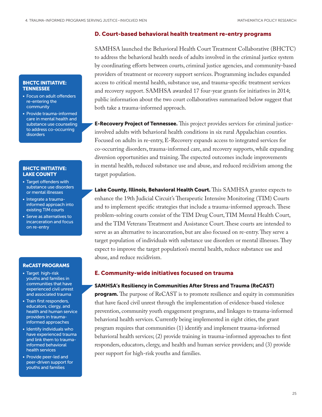#### D. Court-based behavioral health treatment re-entry programs

SAMHSA launched the Behavioral Health Court Treatment Collaborative (BHCTC) to address the behavioral health needs of adults involved in the criminal justice system by coordinating efforts between courts, criminal justice agencies, and community-based providers of treatment or recovery support services. Programming includes expanded access to critical mental health, substance use, and trauma-specific treatment services and recovery support. SAMHSA awarded 17 four-year grants for initiatives in 2014; public information about the two court collaboratives summarized below suggest that both take a trauma-informed approach.

**E-Recovery Project of Tennessee.** This project provides services for criminal justiceinvolved adults with behavioral health conditions in six rural Appalachian counties. Focused on adults in re-entry, E-Recovery expands access to integrated services for co-occurring disorders, trauma-informed care, and recovery supports, while expanding diversion opportunities and training. The expected outcomes include improvements in mental health, reduced substance use and abuse, and reduced recidivism among the target population.

Lake County, Illinois, Behavioral Health Court. This SAMHSA grantee expects to enhance the 19th Judicial Circuit's Therapeutic Intensive Monitoring (TIM) Courts and to implement specific strategies that include a trauma-informed approach. These problem-solving courts consist of the TIM Drug Court, TIM Mental Health Court, and the TIM Veterans Treatment and Assistance Court. These courts are intended to serve as an alternative to incarceration, but are also focused on re-entry. They serve a target population of individuals with substance use disorders or mental illnesses. They expect to improve the target population's mental health, reduce substance use and abuse, and reduce recidivism.

### E. Community-wide initiatives focused on trauma

#### SAMHSA's Resiliency in Communities After Stress and Trauma (ReCAST)

**program.** The purpose of ReCAST is to promote resilience and equity in communities that have faced civil unrest through the implementation of evidence-based violence prevention, community youth engagement programs, and linkages to trauma-informed behavioral health services. Currently being implemented in eight cities, the grant program requires that communities (1) identify and implement trauma-informed behavioral health services; (2) provide training in trauma-informed approaches to first responders, educators, clergy, and health and human service providers; and (3) provide peer support for high-risk youths and families.

#### BHCTC INITIATIVE: **TENNESSEE**

- Focus on adult offenders re-entering the community
- Provide trauma-informed care in mental health and substance use counseling to address co-occurring disorders

#### BHCTC INITIATIVE: LAKE COUNTY

- Target offenders with substance use disorders or mental illnesses
- Integrate a traumainformed approach into existing TIM courts
- Serve as alternatives to incarceration and focus on re-entry

#### ReCAST PROGRAMS

- Target high-risk youths and families in communities that have experienced civil unrest and associated trauma
- Train first responders, educators, clergy, and health and human service providers in traumainformed approaches
- Identify individuals who have experienced trauma and link them to traumainformed behavioral health services
- Provide peer-led and peer-driven support for youths and families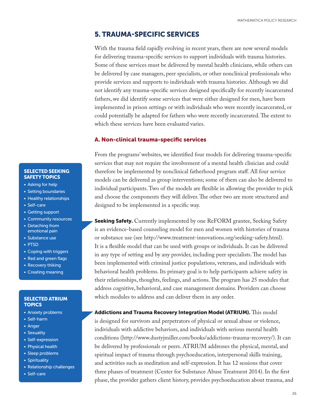### 5. TRAUMA-SPECIFIC SERVICES

With the trauma field rapidly evolving in recent years, there are now several models for delivering trauma-specific services to support individuals with trauma histories. Some of these services must be delivered by mental health clinicians, while others can be delivered by case managers, peer specialists, or other nonclinical professionals who provide services and supports to individuals with trauma histories. Although we did not identify any trauma-specific services designed specifically for recently incarcerated fathers, we did identify some services that were either designed for men, have been implemented in prison settings or with individuals who were recently incarcerated, or could potentially be adapted for fathers who were recently incarcerated. The extent to which these services have been evaluated varies.

#### A. Non-clinical trauma-specific services

From the programs' websites, we identified four models for delivering trauma-specific services that may not require the involvement of a mental health clinician and could therefore be implemented by nonclinical fatherhood program staff. All four service models can be delivered as group interventions; some of them can also be delivered to individual participants. Two of the models are flexible in allowing the provider to pick and choose the components they will deliver. The other two are more structured and designed to be implemented in a specific way.

**Seeking Safety.** Currently implemented by one ReFORM grantee, Seeking Safety is an evidence-based counseling model for men and women with histories of trauma or substance use (see [http://www.treatment-innovations.org/seeking-safety.html\)](http://www.treatment-innovations.org/seeking-safety.html). It is a flexible model that can be used with groups or individuals. It can be delivered in any type of setting and by any provider, including peer specialists. The model has been implemented with criminal justice populations, veterans, and individuals with behavioral health problems. Its primary goal is to help participants achieve safety in their relationships, thoughts, feelings, and actions. The program has 25 modules that address cognitive, behavioral, and case management domains. Providers can choose which modules to address and can deliver them in any order.

Addictions and Trauma Recovery Integration Model (ATRIUM). This model is designed for survivors and perpetrators of physical or sexual abuse or violence, individuals with addictive behaviors, and individuals with serious mental health conditions ([http://www.dustyjmiller.com/books/addictions-trauma-recovery/\)](http://www.dustyjmiller.com/books/addictions-trauma-recovery/). It can be delivered by professionals or peers. ATRIUM addresses the physical, mental, and spiritual impact of trauma through psychoeducation, interpersonal skills training, and activities such as meditation and self-expression. It has 12 sessions that cover three phases of treatment (Center for Substance Abuse Treatment 2014). In the first phase, the provider gathers client history, provides psychoeducation about trauma, and

#### SELECTED SEEKING SAFETY TOPICS

- Asking for help
- Setting boundaries
- Healthy relationships
- Self-care
- Getting support
- Community resources
- Detaching from emotional pain
- Substance use
- PTSD
- Coping with triggers
- Red and green flags
- Recovery thiking
- Creating meaning

#### SELECTED ATRIUM **TOPICS**

- Anxiety problems
- Self-harm
- Anger
- Sexuality
- Self-expression
- Physical health
- Sleep problems
- Spirituality
- Relationship challenges
- Self-care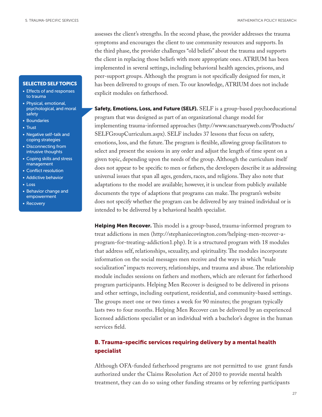#### SELECTED SELF TOPICS

- Effects of and responses to trauma
- Physical, emotional, psychological, and moral safety
- Boundaries
- Trust
- Negative self-talk and coping strategies
- Disconnecting from intrusive thoughts
- Coping skills and stress management
- Conflict resolution
- Addictive behavior
- Loss
- Behavior change and empowerment
- Recovery

assesses the client's strengths. In the second phase, the provider addresses the trauma symptoms and encourages the client to use community resources and supports. In the third phase, the provider challenges "old beliefs" about the trauma and supports the client in replacing those beliefs with more appropriate ones. ATRIUM has been implemented in several settings, including behavioral health agencies, prisons, and peer-support groups. Although the program is not specifically designed for men, it has been delivered to groups of men. To our knowledge, ATRIUM does not include explicit modules on fatherhood.

Safety, Emotions, Loss, and Future (SELF). SELF is a group-based psychoeducational program that was designed as part of an organizational change model for implementing trauma-informed approaches [\(http://www.sanctuaryweb.com/Products/](http://www.sanctuaryweb.com/Products/SELFGroupCurriculum.aspx) [SELFGroupCurriculum.aspx\)](http://www.sanctuaryweb.com/Products/SELFGroupCurriculum.aspx). SELF includes 37 lessons that focus on safety, emotions, loss, and the future. The program is flexible, allowing group facilitators to select and present the sessions in any order and adjust the length of time spent on a given topic, depending upon the needs of the group. Although the curriculum itself does not appear to be specific to men or fathers, the developers describe it as addressing universal issues that span all ages, genders, races, and religions. They also note that adaptations to the model are available; however, it is unclear from publicly available documents the type of adaptions that programs can make. The program's website does not specify whether the program can be delivered by any trained individual or is intended to be delivered by a behavioral health specialist.

Helping Men Recover. This model is a group-based, trauma-informed program to treat addictions in men ([http://stephaniecovington.com/helping-men-recover-a](http://stephaniecovington.com/helping-men-recover-a-program-for-treating-addiction1.php)[program-for-treating-addiction1.php](http://stephaniecovington.com/helping-men-recover-a-program-for-treating-addiction1.php)). It is a structured program with 18 modules that address self, relationships, sexuality, and spirituality. The modules incorporate information on the social messages men receive and the ways in which "male socialization" impacts recovery, relationships, and trauma and abuse. The relationship module includes sessions on fathers and mothers, which are relevant for fatherhood program participants. Helping Men Recover is designed to be delivered in prisons and other settings, including outpatient, residential, and community-based settings. The groups meet one or two times a week for 90 minutes; the program typically lasts two to four months. Helping Men Recover can be delivered by an experienced licensed addictions specialist or an individual with a bachelor's degree in the human services field.

### B. Trauma-specific services requiring delivery by a mental health specialist

Although OFA-funded fatherhood programs are not permitted to use grant funds authorized under the Claims Resolution Act of 2010 to provide mental health treatment, they can do so using other funding streams or by referring participants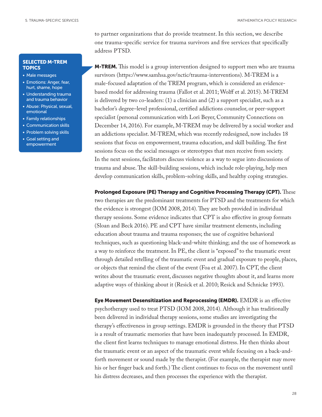#### MATHEMATICA POLICY RESEARCH

to partner organizations that do provide treatment. In this section, we describe one trauma-specific service for trauma survivors and five services that specifically address PTSD.

**M-TREM.** This model is a group intervention designed to support men who are trauma survivors (<https://www.samhsa.gov/nctic/trauma-interventions>). M-TREM is a male-focused adaptation of the TREM program, which is considered an evidencebased model for addressing trauma (Fallot et al. 2011; Wolff et al. 2015). M-TREM is delivered by two co-leaders: (1) a clinician and (2) a support specialist, such as a bachelor's degree–level professional, certified addictions counselor, or peer-support specialist (personal communication with Lori Beyer, Community Connections on December 14, 2016). For example, M-TREM may be delivered by a social worker and an addictions specialist. M-TREM, which was recently redesigned, now includes 18 sessions that focus on empowerment, trauma education, and skill building. The first sessions focus on the social messages or stereotypes that men receive from society. In the next sessions, facilitators discuss violence as a way to segue into discussions of trauma and abuse. The skill-building sessions, which include role-playing, help men develop communication skills, problem-solving skills, and healthy coping strategies.

Prolonged Exposure (PE) Therapy and Cognitive Processing Therapy (CPT). These two therapies are the predominant treatments for PTSD and the treatments for which the evidence is strongest (IOM 2008, 2014). They are both provided in individual therapy sessions. Some evidence indicates that CPT is also effective in group formats (Sloan and Beck 2016). PE and CPT have similar treatment elements, including education about trauma and trauma responses; the use of cognitive behavioral techniques, such as questioning black-and-white thinking; and the use of homework as a way to reinforce the treatment. In PE, the client is "exposed" to the traumatic event through detailed retelling of the traumatic event and gradual exposure to people, places, or objects that remind the client of the event (Foa et al. 2007). In CPT, the client writes about the traumatic event, discusses negative thoughts about it, and learns more adaptive ways of thinking about it (Resick et al. 2010; Resick and Schnicke 1993).

Eye Movement Desensitization and Reprocessing (EMDR). EMDR is an effective psychotherapy used to treat PTSD (IOM 2008, 2014). Although it has traditionally been delivered in individual therapy sessions, some studies are investigating the therapy's effectiveness in group settings. EMDR is grounded in the theory that PTSD is a result of traumatic memories that have been inadequately processed. In EMDR, the client first learns techniques to manage emotional distress. He then thinks about the traumatic event or an aspect of the traumatic event while focusing on a back-andforth movement or sound made by the therapist. (For example, the therapist may move his or her finger back and forth.) The client continues to focus on the movement until his distress decreases, and then processes the experience with the therapist.

#### SELECTED M-TREM **TOPICS**

- Male messages
- Emotions: Anger, fear, hurt, shame, hope
- Understanding trauma and trauma behavior
- Abuse: Physical, sexual, emotional
- Family relationships
- Communication skills
- Problem solving skills
- Goal setting and empowerment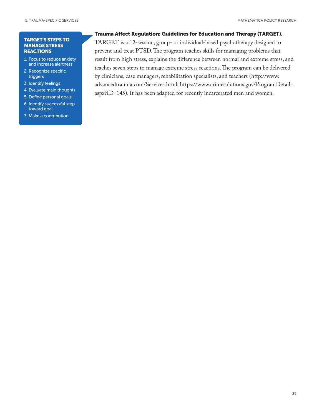#### TARGET'S STEPS TO MANAGE STRESS **REACTIONS**

- 1. Focus to reduce anxiety and increase alertness
- 2. Recognize specific triggers
- 3. Identify feelings
- 4. Evaluate main thoughts
- 5. Define personal goals
- 6. Identify successful step toward goal
- 7. Make a contribution

### Trauma Affect Regulation: Guidelines for Education and Therapy (TARGET).

TARGET is a 12-session, group- or individual-based psychotherapy designed to prevent and treat PTSD. The program teaches skills for managing problems that result from high stress, explains the difference between normal and extreme stress, and teaches seven steps to manage extreme stress reactions. The program can be delivered by clinicians, case managers, rehabilitation specialists, and teachers ([http://www.](http://www.advancedtrauma.com/Services.html) [advancedtrauma.com/Services.html](http://www.advancedtrauma.com/Services.html); [https://www.crimesolutions.gov/ProgramDetails.](https://www.crimesolutions.gov/ProgramDetails.aspx?ID=145) [aspx?ID=145](https://www.crimesolutions.gov/ProgramDetails.aspx?ID=145)). It has been adapted for recently incarcerated men and women.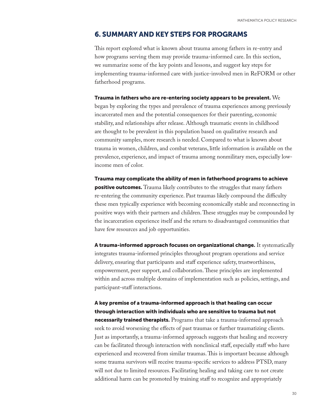### 6. SUMMARY AND KEY STEPS FOR PROGRAMS

This report explored what is known about trauma among fathers in re-entry and how programs serving them may provide trauma-informed care. In this section, we summarize some of the key points and lessons, and suggest key steps for implementing trauma-informed care with justice-involved men in ReFORM or other fatherhood programs.

#### Trauma in fathers who are re-entering society appears to be prevalent.  $\rm{We}$

began by exploring the types and prevalence of trauma experiences among previously incarcerated men and the potential consequences for their parenting, economic stability, and relationships after release. Although traumatic events in childhood are thought to be prevalent in this population based on qualitative research and community samples, more research is needed. Compared to what is known about trauma in women, children, and combat veterans, little information is available on the prevalence, experience, and impact of trauma among nonmilitary men, especially lowincome men of color.

Trauma may complicate the ability of men in fatherhood programs to achieve **positive outcomes.** Trauma likely contributes to the struggles that many fathers re-entering the community experience. Past traumas likely compound the difficulty these men typically experience with becoming economically stable and reconnecting in positive ways with their partners and children. These struggles may be compounded by the incarceration experience itself and the return to disadvantaged communities that have few resources and job opportunities.

A trauma-informed approach focuses on organizational change. It systematically integrates trauma-informed principles throughout program operations and service delivery, ensuring that participants and staff experience safety, trustworthiness, empowerment, peer support, and collaboration. These principles are implemented within and across multiple domains of implementation such as policies, settings, and participant-staff interactions.

# A key premise of a trauma-informed approach is that healing can occur through interaction with individuals who are sensitive to trauma but not

necessarily trained therapists. Programs that take a trauma-informed approach seek to avoid worsening the effects of past traumas or further traumatizing clients. Just as importantly, a trauma-informed approach suggests that healing and recovery can be facilitated through interaction with nonclinical staff, especially staff who have experienced and recovered from similar traumas. This is important because although some trauma survivors will receive trauma-specific services to address PTSD, many will not due to limited resources. Facilitating healing and taking care to not create additional harm can be promoted by training staff to recognize and appropriately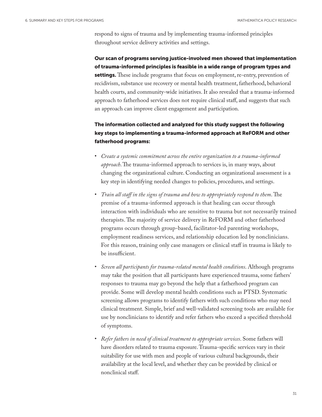respond to signs of trauma and by implementing trauma-informed principles throughout service delivery activities and settings.

Our scan of programs serving justice-involved men showed that implementation of trauma-informed principles is feasible in a wide range of program types and settings. These include programs that focus on employment, re-entry, prevention of recidivism, substance use recovery or mental health treatment, fatherhood, behavioral health courts, and community-wide initiatives. It also revealed that a trauma-informed approach to fatherhood services does not require clinical staff, and suggests that such an approach can improve client engagement and participation.

The information collected and analyzed for this study suggest the following key steps to implementing a trauma-informed approach at ReFORM and other fatherhood programs:

- *Create a systemic commitment across the entire organization to a trauma-informed approach*. The trauma-informed approach to services is, in many ways, about changing the organizational culture. Conducting an organizational assessment is a key step in identifying needed changes to policies, procedures, and settings.
- *Train all staff in the signs of trauma and how to appropriately respond to them*. The premise of a trauma-informed approach is that healing can occur through interaction with individuals who are sensitive to trauma but not necessarily trained therapists. The majority of service delivery in ReFORM and other fatherhood programs occurs through group-based, facilitator-led parenting workshops, employment readiness services, and relationship education led by nonclinicians. For this reason, training only case managers or clinical staff in trauma is likely to be insufficient.
- *Screen all participants for trauma-related mental health conditions*. Although programs may take the position that all participants have experienced trauma, some fathers' responses to trauma may go beyond the help that a fatherhood program can provide. Some will develop mental health conditions such as PTSD. Systematic screening allows programs to identify fathers with such conditions who may need clinical treatment. Simple, brief and well-validated screening tools are available for use by nonclinicians to identify and refer fathers who exceed a specified threshold of symptoms.
- *Refer fathers in need of clinical treatment to appropriate services*. Some fathers will have disorders related to trauma exposure. Trauma-specific services vary in their suitability for use with men and people of various cultural backgrounds, their availability at the local level, and whether they can be provided by clinical or nonclinical staff.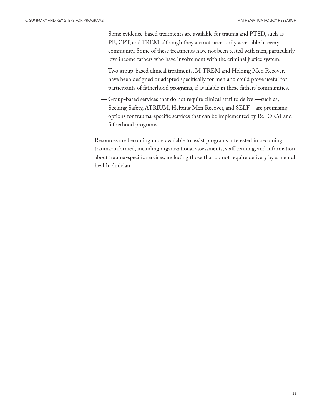- Some evidence-based treatments are available for trauma and PTSD, such as PE, CPT, and TREM, although they are not necessarily accessible in every community. Some of these treatments have not been tested with men, particularly low-income fathers who have involvement with the criminal justice system.
- Two group-based clinical treatments, M-TREM and Helping Men Recover, have been designed or adapted specifically for men and could prove useful for participants of fatherhood programs, if available in these fathers' communities.
- Group-based services that do not require clinical staff to deliver—such as, Seeking Safety, ATRIUM, Helping Men Recover, and SELF—are promising options for trauma-specific services that can be implemented by ReFORM and fatherhood programs.

Resources are becoming more available to assist programs interested in becoming trauma-informed, including organizational assessments, staff training, and information about trauma-specific services, including those that do not require delivery by a mental health clinician.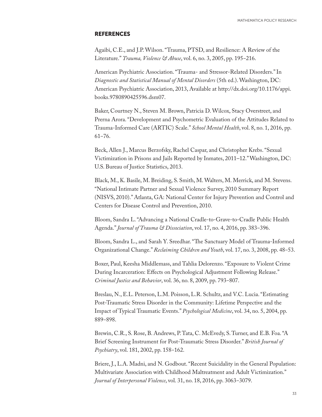#### **REFERENCES**

Agaibi, C.E., and J.P. Wilson. "Trauma, PTSD, and Resilience: A Review of the Literature." *Trauma, Violence* & Abuse, vol. 6, no. 3, 2005, pp. 195-216.

American Psychiatric Association. "Trauma- and Stressor-Related Disorders." In *Diagnostic and Statistical Manual of Mental Disorders* (5th ed.). Washington, DC: American Psychiatric Association, 2013, Available at [http://dx.doi.org/10.1176/appi.](http://dx.doi.org/10.1176/appi.books.9780890425596.dsm07) [books.9780890425596.dsm07](http://dx.doi.org/10.1176/appi.books.9780890425596.dsm07).

Baker, Courtney N., Steven M. Brown, Patricia D. Wilcox, Stacy Overstreet, and Prerna Arora. "Development and Psychometric Evaluation of the Attitudes Related to Trauma-Informed Care (ARTIC) Scale." *School Mental Health*, vol. 8, no. 1, 2016, pp. 61‒76.

Beck, Allen J., Marcus Berzofsky, Rachel Caspar, and Christopher Krebs. "Sexual Victimization in Prisons and Jails Reported by Inmates, 2011–12." Washington, DC: U.S. Bureau of Justice Statistics, 2013.

Black, M., K. Basile, M. Breiding, S. Smith, M. Walters, M. Merrick, and M. Stevens. "National Intimate Partner and Sexual Violence Survey, 2010 Summary Report (NISVS, 2010)." Atlanta, GA: National Center for Injury Prevention and Control and Centers for Disease Control and Prevention, 2010.

Bloom, Sandra L. "Advancing a National Cradle-to-Grave-to-Cradle Public Health Agenda." *Journal of Trauma & Dissociation*, vol. 17, no. 4, 2016, pp. 383‒396.

Bloom, Sandra L., and Sarah Y. Sreedhar. "The Sanctuary Model of Trauma-Informed Organizational Change." *Reclaiming Children and Youth*, vol. 17, no. 3, 2008, pp. 48–53.

Boxer, Paul, Keesha Middlemass, and Tahlia Delorenzo. "Exposure to Violent Crime During Incarceration: Effects on Psychological Adjustment Following Release." *Criminal Justice and Behavior, vol.* 36, no. 8, 2009, pp. 793-807.

Breslau, N., E.L. Peterson, L.M. Poisson, L.R. Schultz, and V.C. Lucia. "Estimating Post-Traumatic Stress Disorder in the Community: Lifetime Perspective and the Impact of Typical Traumatic Events." *Psychological Medicine*, vol. 34, no. 5, 2004, pp. 889-898.

Brewin, C.R., S. Rose, B. Andrews, P. Tata, C. McEvedy, S. Turner, and E.B. Foa. "A Brief Screening Instrument for Post-Traumatic Stress Disorder." *British Journal of Psychiatry*, vol. 181, 2002, pp. 158-162.

Briere, J., L.A. Madni, and N. Godbout. "Recent Suicidality in the General Population: Multivariate Association with Childhood Maltreatment and Adult Victimization." Journal of Interpersonal Violence, vol. 31, no. 18, 2016, pp. 3063–3079.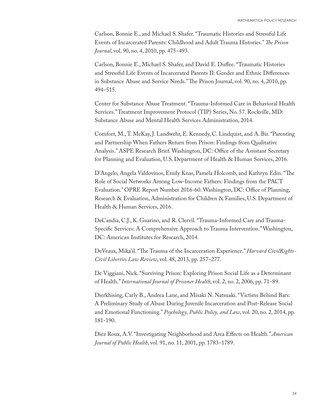Carlson, Bonnie E., and Michael S. Shafer. "Traumatic Histories and Stressful Life Events of Incarcerated Parents: Childhood and Adult Trauma Histories." *The Prison Journal*, vol. 90, no. 4, 2010, pp. 475–493.

Carlson, Bonnie E., Michael S. Shafer, and David E. Duffee. "Traumatic Histories and Stressful Life Events of Incarcerated Parents II: Gender and Ethnic Differences in Substance Abuse and Service Needs." The Prison Journal, vol. 90, no. 4, 2010, pp. 494‒515.

Center for Substance Abuse Treatment. "Trauma-Informed Care in Behavioral Health Services." Treatment Improvement Protocol (TIP) Series, No. 57. Rockville, MD: Substance Abuse and Mental Health Services Administration, 2014.

Comfort, M., T. McKay, J. Landwehr, E. Kennedy, C. Lindquist, and A. Bir. "Parenting and Partnership When Fathers Return from Prison: Findings from Qualitative Analysis." ASPE Research Brief. Washington, DC: Office of the Assistant Secretary for Planning and Evaluation, U.S. Department of Health & Human Services, 2016.

D'Angelo, Angela Valdovinos, Emily Knas, Pamela Holcomb, and Kathryn Edin. "The Role of Social Networks Among Low-Income Fathers: Findings from the PACT Evaluation." OPRE Report Number 2016-60. Washington, DC: Office of Planning, Research & Evaluation, Administration for Children & Families, U.S. Department of Health & Human Services, 2016.

DeCandia, C.J., K. Guarino, and R. Clervil. "Trauma-Informed Care and Trauma-Specific Services: A Comprehensive Approach to Trauma Intervention." Washington, DC: American Institutes for Research, 2014.

DeVeaux, Mika'il. "The Trauma of the Incarceration Experience." *Harvard CivilRights-Civil Liberties Law Review, vol.* 48, 2013, pp. 257–277.

De Viggiani, Nick. "Surviving Prison: Exploring Prison Social Life as a Determinant of Health." *International Journal of Prisoner Health*, vol. 2, no. 2, 2006, pp. 71–89.

Dierkhising, Carly B., Andrea Lane, and Misaki N. Natsuaki. "Victims Behind Bars: A Preliminary Study of Abuse During Juvenile Incarceration and Post-Release Social and Emotional Functioning." *Psychology, Public Policy, and Law*, vol. 20, no. 2, 2014, pp. 181-190.

Diez Roux, A.V. "Investigating Neighborhood and Area Effects on Health." *American Journal of Public Health*, vol. 91, no. 11, 2001, pp. 1783-1789.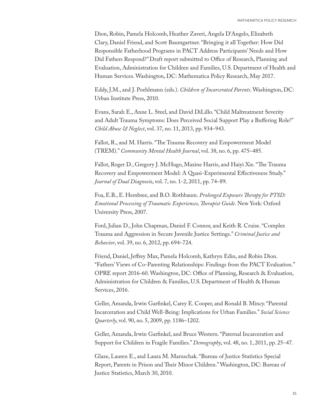Dion, Robin, Pamela Holcomb, Heather Zaveri, Angela D'Angelo, Elizabeth Clary, Daniel Friend, and Scott Baumgartner. "Bringing it all Together: How Did Responsible Fatherhood Programs in PACT Address Participants' Needs and How Did Fathers Respond?" Draft report submitted to Office of Research, Planning and Evaluation, Administration for Children and Families, U.S. Department of Health and Human Services. Washington, DC: Mathematica Policy Research, May 2017.

Eddy, J.M., and J. Poehlmann (eds.). *Children of Incarcerated Parents*. Washington, DC: Urban Institute Press, 2010.

Evans, Sarah E., Anne L. Steel, and David DiLillo. "Child Maltreatment Severity and Adult Trauma Symptoms: Does Perceived Social Support Play a Buffering Role?" *Child Abuse & Neglect*, vol. 37, no. 11, 2013, pp. 934–943.

Fallot, R., and M. Harris. "The Trauma Recovery and Empowerment Model (TREM)." *Community Mental Health Journal*, vol. 38, no. 6, pp. 475–485.

Fallot, Roger D., Gregory J. McHugo, Maxine Harris, and Haiyi Xie. "The Trauma Recovery and Empowerment Model: A Quasi-Experimental Effectiveness Study." *Journal of Dual Diagnosi*s, vol. 7, no. 1-2, 2011, pp. 74‒89.

Foa, E.B., E. Hembree, and B.O. Rothbaum. *Prolonged Exposure Therapy for PTSD: Emotional Processing of Traumatic Experiences, Therapist Guide*. New York: Oxford University Press, 2007.

Ford, Julian D., John Chapman, Daniel F. Connor, and Keith R. Cruise. "Complex Trauma and Aggression in Secure Juvenile Justice Settings." *Criminal Justice and Behavior*, vol. 39, no. 6, 2012, pp. 694‒724.

Friend, Daniel, Jeffrey Max, Pamela Holcomb, Kathryn Edin, and Robin Dion. "Fathers' Views of Co-Parenting Relationships: Findings from the PACT Evaluation." OPRE report 2016-60. Washington, DC: Office of Planning, Research & Evaluation, Administration for Children & Families, U.S. Department of Health & Human Services, 2016.

Geller, Amanda, Irwin Garfinkel, Carey E. Cooper, and Ronald B. Mincy. "Parental Incarceration and Child Well‐Being: Implications for Urban Families." *Social Science Quarterly*, vol. 90, no. 5, 2009, pp. 1186‒1202.

Geller, Amanda, Irwin Garfinkel, and Bruce Western. "Paternal Incarceration and Support for Children in Fragile Families." *Demography*, vol. 48, no. 1, 2011, pp. 25–47.

Glaze, Lauren E., and Laura M. Maruschak. "Bureau of Justice Statistics Special Report, Parents in Prison and Their Minor Children." Washington, DC: Bureau of Justice Statistics, March 30, 2010.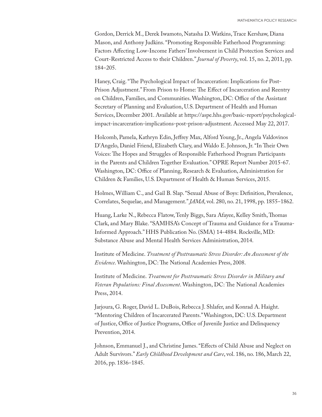Gordon, Derrick M., Derek Iwamoto, Natasha D. Watkins, Trace Kershaw, Diana Mason, and Anthony Judkins. "Promoting Responsible Fatherhood Programming: Factors Affecting Low-Income Fathers' Involvement in Child Protection Services and Court-Restricted Access to their Children." *Journal of Poverty*, vol. 15, no. 2, 2011, pp. 184‒205.

Haney, Craig. "The Psychological Impact of Incarceration: Implications for Post-Prison Adjustment." From Prison to Home: The Effect of Incarceration and Reentry on Children, Families, and Communities. Washington, DC: Office of the Assistant Secretary of Planning and Evaluation, U.S. Department of Health and Human Services, December 2001. Available at [https://aspe.hhs.gov/basic-report/psychological](https://aspe.hhs.gov/basic-report/psychological-impact-incarceration-implications-post-prison-adjustment)[impact-incarceration-implications-post-prison-adjustment.](https://aspe.hhs.gov/basic-report/psychological-impact-incarceration-implications-post-prison-adjustment) Accessed May 22, 2017.

Holcomb, Pamela, Kathryn Edin, Jeffrey Max, Alford Young, Jr., Angela Valdovinos D'Angelo, Daniel Friend, Elizabeth Clary, and Waldo E. Johnson, Jr. "In Their Own Voices: The Hopes and Struggles of Responsible Fatherhood Program Participants in the Parents and Children Together Evaluation." OPRE Report Number 2015-67. Washington, DC: Office of Planning, Research & Evaluation, Administration for Children & Families, U.S. Department of Health & Human Services, 2015.

Holmes, William C., and Gail B. Slap. "Sexual Abuse of Boys: Definition, Prevalence, Correlates, Sequelae, and Management." *JAMA*, vol. 280, no. 21, 1998, pp. 1855–1862.

Huang, Larke N., Rebecca Flatow, Tenly Biggs, Sara Afayee, Kelley Smith, Thomas Clark, and Mary Blake. "SAMHSA's Concept of Trauma and Guidance for a Trauma-Informed Approach." HHS Publication No. (SMA) 14-4884. Rockville, MD: Substance Abuse and Mental Health Services Administration, 2014.

Institute of Medicine. *Treatment of Posttraumatic Stress Disorder: An Assessment of the Evidence*. Washington, DC: The National Academies Press, 2008.

Institute of Medicine. *Treatment for Posttraumatic Stress Disorder in Military and Veteran Populations: Final Assessment*. Washington, DC: The National Academies Press, 2014.

Jarjoura, G. Roger, David L. DuBois, Rebecca J. Shlafer, and Konrad A. Haight. "Mentoring Children of Incarcerated Parents." Washington, DC: U.S. Department of Justice, Office of Justice Programs, Office of Juvenile Justice and Delinquency Prevention, 2014.

Johnson, Emmanuel J., and Christine James. "Effects of Child Abuse and Neglect on Adult Survivors." *Early Childhood Development and Care*, vol. 186, no. 186, March 22, 2016, pp. 1836–1845.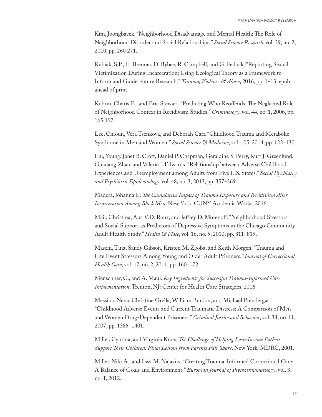Kim, Joongbaeck. "Neighborhood Disadvantage and Mental Health: The Role of Neighborhood Disorder and Social Relationships." *Social Science Research*, vol. 39, no. 2, 2010, pp. 260 271.

Kubiak, S.P., H. Brenner, D. Bybee, R. Campbell, and G. Fedock. "Reporting Sexual Victimization During Incarceration: Using Ecological Theory as a Framework to Inform and Guide Future Research." *Trauma, Violence & Abuse*, 2016, pp. 1‒13, epub ahead of print.

Kubrin, Charis E., and Eric Stewart. "Predicting Who Reoffends: The Neglected Role of Neighborhood Context in Recidivism Studies." *Criminology*, vol. 44, no. 1, 2006, pp. 165 197.

Lee, Chioun, Vera Tsenkova, and Deborah Carr. "Childhood Trauma and Metabolic Syndrome in Men and Women." *Social Science & Medicine*, vol. 105, 2014, pp. 122‒130.

Liu, Young, Janet B. Croft, Daniel P. Chapman, Geraldine S. Perry, Kurt J. Greenlund, Guixiang Zhao, and Valerie J. Edwards. "Relationship between Adverse Childhood Experiences and Unemployment among Adults from Five U.S. States." *Social Psychiatry and Psychiatric Epidemiology*, vol. 48, no. 3, 2013, pp. 357‒369.

Madera, Johanna E. *The Cumulative Impact of Trauma Exposure and Recidivism After Incarceration Among Black Men*. New York: CUNY Academic Works, 2016.

Mair, Christina, Ana V.D. Roux, and Jeffrey D. Morenoff. "Neighborhood Stressors and Social Support as Predictors of Depressive Symptoms in the Chicago Community Adult Health Study." *Health & Place*, vol. 16, no. 5, 2010, pp. 811-819.

Maschi, Tina, Sandy Gibson, Kristen M. Zgoba, and Keith Morgen. "Trauma and Life Event Stressors Among Young and Older Adult Prisoners." *Journal of Correctional Health Care*, vol. 17, no. 2, 2011, pp. 160-172.

Menschner, C., and A. Maul. *Key Ingredients for Successful Trauma-Informed Care Implementation*. Trenton, NJ: Center for Health Care Strategies, 2016.

Messina, Nena, Christine Grella, William Burdon, and Michael Prendergast. "Childhood Adverse Events and Current Traumatic Distress: A Comparison of Men and Women Drug-Dependent Prisoners." *Criminal Justice and Behavior*, vol. 34, no. 11, 2007, pp. 1385-1401.

Miller, Cynthia, and Virginia Knox. *The Challenge of Helping Low-Income Fathers Support Their Children: Final Lessons from Parents Fair Share*. New York: MDRC, 2001.

Miller, Niki A., and Lisa M. Najavits. "Creating Trauma-Informed Correctional Care: A Balance of Goals and Environment." *European Journal of Psychotraumatology*, vol. 3, no. 1, 2012.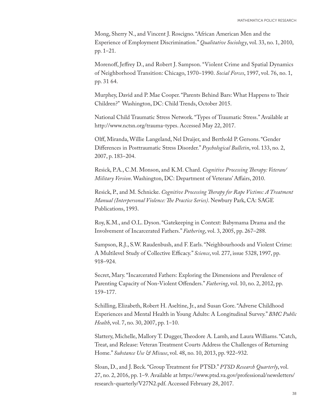Mong, Sherry N., and Vincent J. Roscigno. "African American Men and the Experience of Employment Discrimination." *Qualitative Sociology*, vol. 33, no. 1, 2010, pp. 1‒21.

Morenoff, Jeffrey D., and Robert J. Sampson. "Violent Crime and Spatial Dynamics of Neighborhood Transition: Chicago, 1970‒1990. *Social Forces*, 1997, vol. 76, no. 1, pp. 31 64.

Murphey, David and P. Mae Cooper. "Parents Behind Bars: What Happens to Their Children?" Washington, DC: Child Trends, October 2015.

National Child Traumatic Stress Network. "Types of Traumatic Stress." Available at <http://www.nctsn.org/trauma-types>. Accessed May 22, 2017.

Olff, Miranda, Willie Langeland, Nel Draijer, and Berthold P. Gersons. "Gender Differences in Posttraumatic Stress Disorder." *Psychological Bulletin*, vol. 133, no. 2, 2007, p. 183-204.

Resick, P.A., C.M. Monson, and K.M. Chard. *Cognitive Processing Therapy: Veteran/ Military Version*. Washington, DC: Department of Veterans' Affairs, 2010.

Resick, P., and M. Schnicke. *Cognitive Processing Therapy for Rape Victims: A Treatment Manual (Interpersonal Violence: The Practice Series)*. Newbury Park, CA: SAGE Publications, 1993.

Roy, K.M., and O.L. Dyson. "Gatekeeping in Context: Babymama Drama and the Involvement of Incarcerated Fathers." *Fathering*, vol. 3, 2005, pp. 267–288.

Sampson, R.J., S.W. Raudenbush, and F. Earls. "Neighbourhoods and Violent Crime: A Multilevel Study of Collective Efficacy." *Science*, vol. 277, issue 5328, 1997, pp. 918–924.

Secret, Mary. "Incarcerated Fathers: Exploring the Dimensions and Prevalence of Parenting Capacity of Non-Violent Offenders." *Fathering*, vol. 10, no. 2, 2012, pp. 159–177.

Schilling, Elizabeth, Robert H. Aseltine, Jr., and Susan Gore. "Adverse Childhood Experiences and Mental Health in Young Adults: A Longitudinal Survey." *BMC Public Health*, vol. 7, no. 30, 2007, pp. 1–10.

Slattery, Michelle, Mallory T. Dugger, Theodore A. Lamb, and Laura Williams. "Catch, Treat, and Release: Veteran Treatment Courts Address the Challenges of Returning Home." Substance Use & Misuse, vol. 48, no. 10, 2013, pp. 922-932.

Sloan, D., and J. Beck. "Group Treatment for PTSD." *PTSD Research Quarterly*, vol. 27, no. 2, 2016, pp. 1‒9. Available at [https://www.ptsd.va.gov/professional/newsletters/](https://www.ptsd.va.gov/professional/newsletters/research-quarterly/V27N2.pdf) [research-quarterly/V27N2.pdf](https://www.ptsd.va.gov/professional/newsletters/research-quarterly/V27N2.pdf). Accessed February 28, 2017.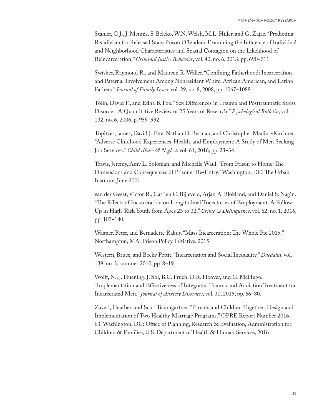Stahler, G.J., J. Mennis, S. Beleko, W.N. Welsh, M.L. Hiller, and G. Zajac. "Predicting Recidivism for Released State Prison Offenders: Examining the Influence of Individual and Neighborhood Characteristics and Spatial Contagion on the Likelihood of Reincarceration." *Criminal Justice Behavior*, vol. 40, no. 6, 2013, pp. 690–711.

Swisher, Raymond R., and Maureen R. Waller. "Confining Fatherhood: Incarceration and Paternal Involvement Among Nonresident White, African American, and Latino Fathers." *Journal of Family Issues*, vol. 29, no. 8, 2008, pp. 1067-1088.

Tolin, David F., and Edna B. Foa. "Sex Differences in Trauma and Posttraumatic Stress Disorder: A Quantitative Review of 25 Years of Research." *Psychological Bulletin*, vol. 132, no. 6, 2006, p. 959-992.

Topitzes, James, David J. Pate, Nathan D. Berman, and Christopher Medina-Kirchner. "Adverse Childhood Experiences, Health, and Employment: A Study of Men Seeking Job Services." *Child Abuse & Neglect*, vol. 61, 2016, pp. 23-34.

Travis, Jeremy, Amy L. Soloman, and Michelle Waul. "From Prison to Home: The Dimensions and Consequences of Prisoner Re-Entry." Washington, DC: The Urban Institute, June 2001.

van der Geest, Victor R., Catrien C. Bijleveld, Arjan A. Blokland, and Daniel S. Nagin. "The Effects of Incarceration on Longitudinal Trajectories of Employment: A Follow-Up in High-Risk Youth from Ages 23 to 32." *Crime & Delinquency*, vol. 62, no. 1, 2016, pp. 107–140.

Wagner, Peter, and Bernadette Rabuy. "Mass Incarceration: The Whole Pie 2015." Northampton, MA: Prison Policy Initiative, 2015.

Western, Bruce, and Becky Pettit. "Incarceration and Social Inequality." *Daedalus*, vol. 139, no. 3, summer 2010, pp. 8‒19.

Wolff, N., J. Huening, J. Shi, B.C. Frueh, D.R. Hoover, and G. McHugo. "Implementation and Effectiveness of Integrated Trauma and Addiction Treatment for Incarcerated Men." *Journal of Anxiety Disorders*, vol. 30, 2015, pp. 66‒80.

Zaveri, Heather, and Scott Baumgartner. "Parents and Children Together: Design and Implementation of Two Healthy Marriage Programs." OPRE Report Number 2016- 63. Washington, DC: Office of Planning, Research & Evaluation, Administration for Children & Families, U.S. Department of Health & Human Services, 2016.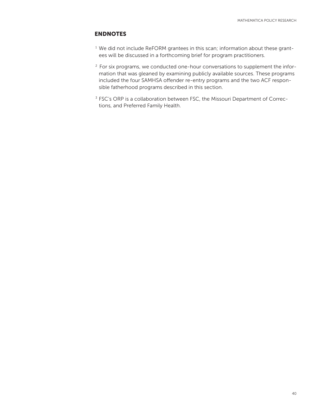### ENDNOTES

- <sup>1</sup> We did not include ReFORM grantees in this scan; information about these grantees will be discussed in a forthcoming brief for program practitioners.
- <sup>2</sup> For six programs, we conducted one-hour conversations to supplement the information that was gleaned by examining publicly available sources. These programs included the four SAMHSA offender re-entry programs and the two ACF responsible fatherhood programs described in this section.
- <sup>3</sup> FSC's ORP is a collaboration between FSC, the Missouri Department of Corrections, and Preferred Family Health.